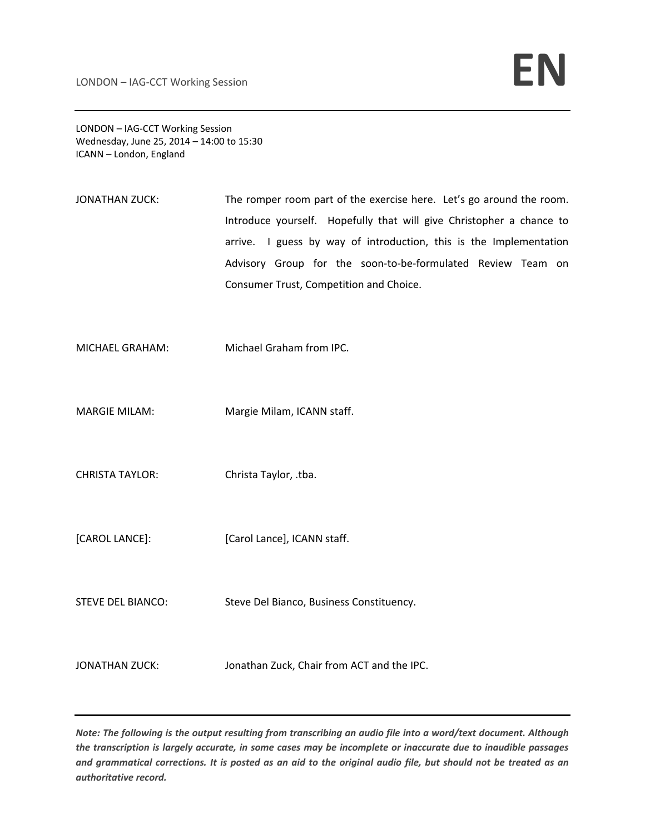LONDON – IAG‐CCT Working Session Wednesday, June 25, 2014 – 14:00 to 15:30 ICANN – London, England

- JONATHAN ZUCK: The romper room part of the exercise here. Let's go around the room. Introduce yourself. Hopefully that will give Christopher a chance to arrive. I guess by way of introduction, this is the Implementation Advisory Group for the soon-to-be-formulated Review Team on Consumer Trust, Competition and Choice.
- MICHAEL GRAHAM: Michael Graham from IPC.
- MARGIE MILAM: Margie Milam, ICANN staff.
- CHRISTA TAYLOR: Christa Taylor, .tba.
- [CAROL LANCE]: [Carol Lance], ICANN staff.
- STEVE DEL BIANCO: Steve Del Bianco, Business Constituency.
- JONATHAN ZUCK: Jonathan Zuck, Chair from ACT and the IPC.

Note: The following is the output resulting from transcribing an audio file into a word/text document. Although the transcription is largely accurate, in some cases may be incomplete or inaccurate due to inaudible passages and grammatical corrections. It is posted as an aid to the original audio file, but should not be treated as an *authoritative record.*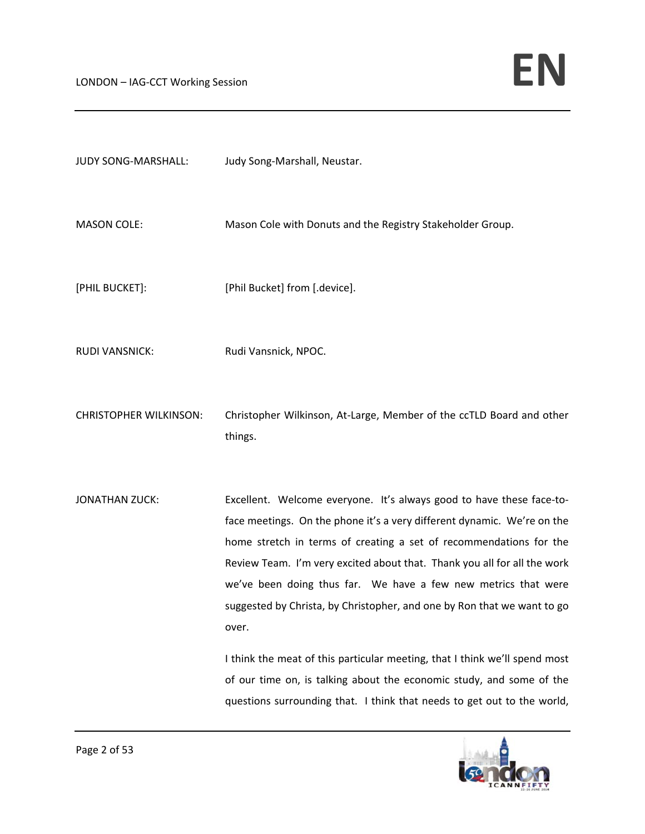| JUDY SONG-MARSHALL:           | Judy Song-Marshall, Neustar.                                                                                                                                                                                                                                                                                                                                                                                                                                                                                                                                                                                  |
|-------------------------------|---------------------------------------------------------------------------------------------------------------------------------------------------------------------------------------------------------------------------------------------------------------------------------------------------------------------------------------------------------------------------------------------------------------------------------------------------------------------------------------------------------------------------------------------------------------------------------------------------------------|
| <b>MASON COLE:</b>            | Mason Cole with Donuts and the Registry Stakeholder Group.                                                                                                                                                                                                                                                                                                                                                                                                                                                                                                                                                    |
| [PHIL BUCKET]:                | [Phil Bucket] from [.device].                                                                                                                                                                                                                                                                                                                                                                                                                                                                                                                                                                                 |
| <b>RUDI VANSNICK:</b>         | Rudi Vansnick, NPOC.                                                                                                                                                                                                                                                                                                                                                                                                                                                                                                                                                                                          |
| <b>CHRISTOPHER WILKINSON:</b> | Christopher Wilkinson, At-Large, Member of the ccTLD Board and other<br>things.                                                                                                                                                                                                                                                                                                                                                                                                                                                                                                                               |
| <b>JONATHAN ZUCK:</b>         | Excellent. Welcome everyone. It's always good to have these face-to-<br>face meetings. On the phone it's a very different dynamic. We're on the<br>home stretch in terms of creating a set of recommendations for the<br>Review Team. I'm very excited about that. Thank you all for all the work<br>we've been doing thus far. We have a few new metrics that were<br>suggested by Christa, by Christopher, and one by Ron that we want to go<br>over.<br>I think the meat of this particular meeting, that I think we'll spend most<br>of our time on, is talking about the economic study, and some of the |
|                               | questions surrounding that. I think that needs to get out to the world,                                                                                                                                                                                                                                                                                                                                                                                                                                                                                                                                       |

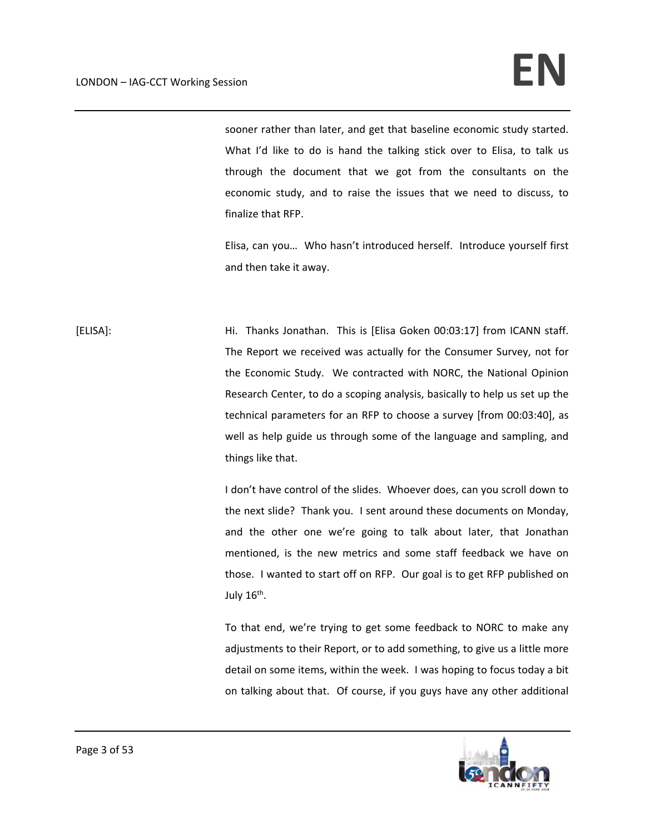sooner rather than later, and get that baseline economic study started. What I'd like to do is hand the talking stick over to Elisa, to talk us through the document that we got from the consultants on the economic study, and to raise the issues that we need to discuss, to finalize that RFP.

Elisa, can you… Who hasn't introduced herself. Introduce yourself first and then take it away.

[ELISA]: Hi. Thanks Jonathan. This is [Elisa Goken 00:03:17] from ICANN staff. The Report we received was actually for the Consumer Survey, not for the Economic Study. We contracted with NORC, the National Opinion Research Center, to do a scoping analysis, basically to help us set up the technical parameters for an RFP to choose a survey [from 00:03:40], as well as help guide us through some of the language and sampling, and things like that.

> I don't have control of the slides. Whoever does, can you scroll down to the next slide? Thank you. I sent around these documents on Monday, and the other one we're going to talk about later, that Jonathan mentioned, is the new metrics and some staff feedback we have on those. I wanted to start off on RFP. Our goal is to get RFP published on July  $16<sup>th</sup>$ .

> To that end, we're trying to get some feedback to NORC to make any adjustments to their Report, or to add something, to give us a little more detail on some items, within the week. I was hoping to focus today a bit on talking about that. Of course, if you guys have any other additional

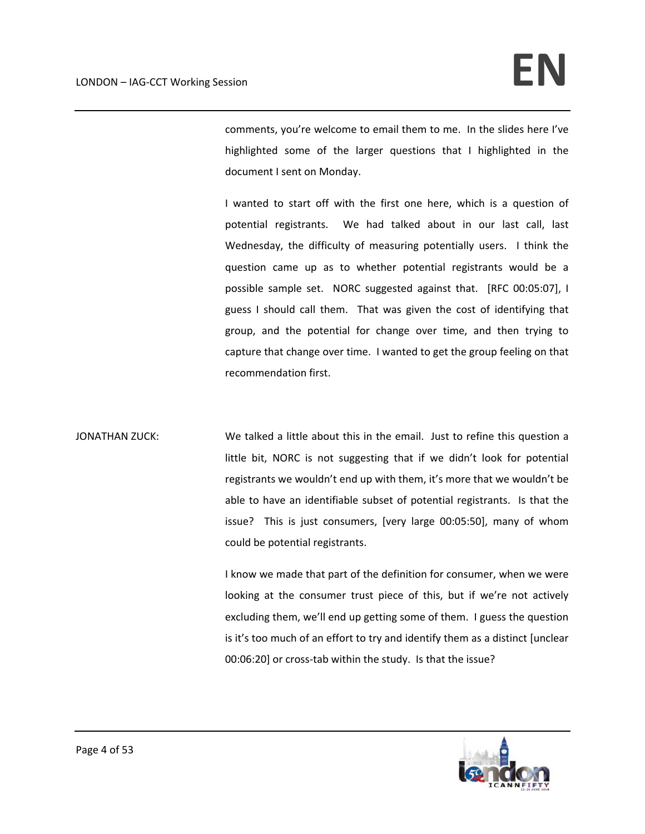comments, you're welcome to email them to me. In the slides here I've highlighted some of the larger questions that I highlighted in the document I sent on Monday.

I wanted to start off with the first one here, which is a question of potential registrants. We had talked about in our last call, last Wednesday, the difficulty of measuring potentially users. I think the question came up as to whether potential registrants would be a possible sample set. NORC suggested against that. [RFC 00:05:07], I guess I should call them. That was given the cost of identifying that group, and the potential for change over time, and then trying to capture that change over time. I wanted to get the group feeling on that recommendation first.

JONATHAN ZUCK: We talked a little about this in the email. Just to refine this question a little bit, NORC is not suggesting that if we didn't look for potential registrants we wouldn't end up with them, it's more that we wouldn't be able to have an identifiable subset of potential registrants. Is that the issue? This is just consumers, [very large 00:05:50], many of whom could be potential registrants.

> I know we made that part of the definition for consumer, when we were looking at the consumer trust piece of this, but if we're not actively excluding them, we'll end up getting some of them. I guess the question is it's too much of an effort to try and identify them as a distinct [unclear 00:06:20] or cross-tab within the study. Is that the issue?

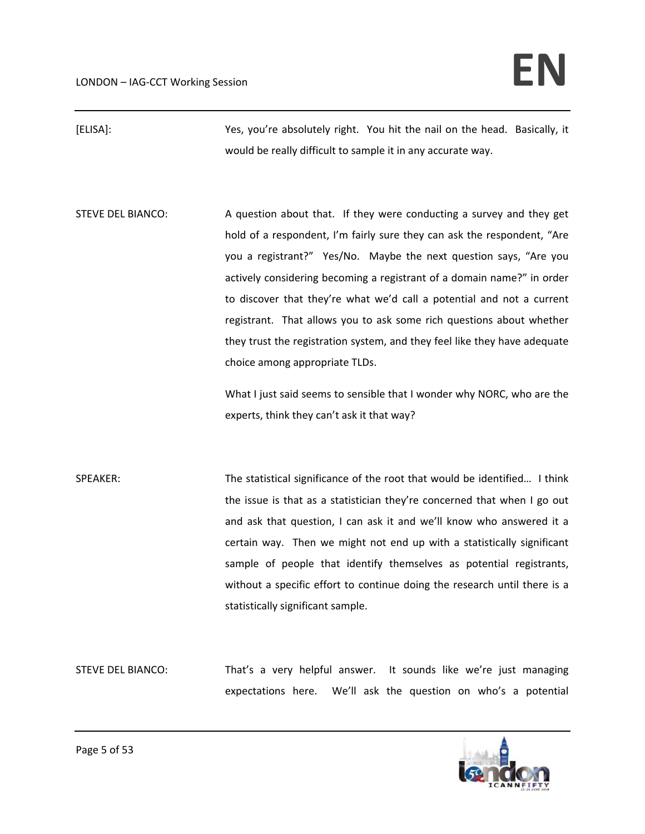[ELISA]: Yes, you're absolutely right. You hit the nail on the head. Basically, it would be really difficult to sample it in any accurate way.

STEVE DEL BIANCO: A question about that. If they were conducting a survey and they get hold of a respondent, I'm fairly sure they can ask the respondent, "Are you a registrant?" Yes/No. Maybe the next question says, "Are you actively considering becoming a registrant of a domain name?" in order to discover that they're what we'd call a potential and not a current registrant. That allows you to ask some rich questions about whether they trust the registration system, and they feel like they have adequate choice among appropriate TLDs.

> What I just said seems to sensible that I wonder why NORC, who are the experts, think they can't ask it that way?

SPEAKER: The statistical significance of the root that would be identified... I think the issue is that as a statistician they're concerned that when I go out and ask that question, I can ask it and we'll know who answered it a certain way. Then we might not end up with a statistically significant sample of people that identify themselves as potential registrants, without a specific effort to continue doing the research until there is a statistically significant sample.

STEVE DEL BIANCO: That's a very helpful answer. It sounds like we're just managing expectations here. We'll ask the question on who's a potential

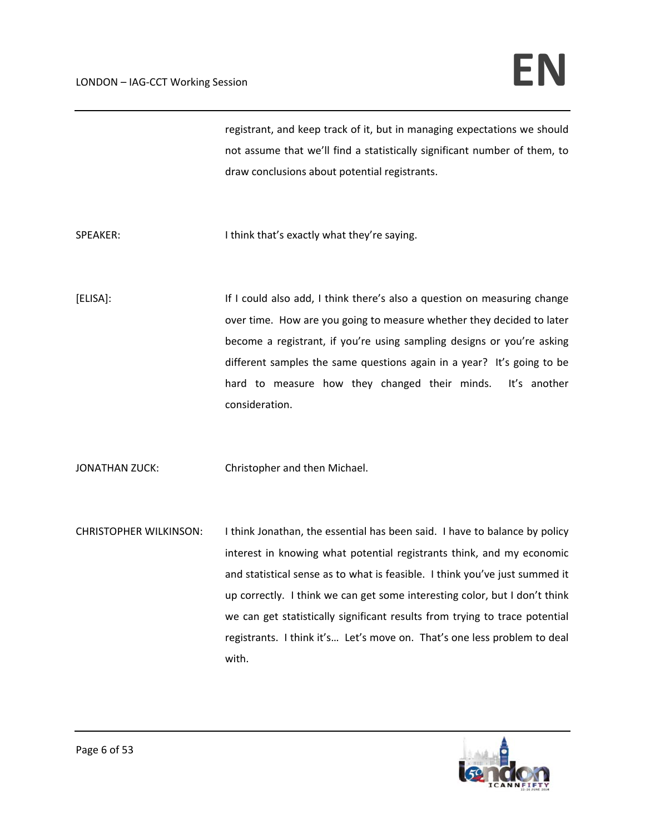registrant, and keep track of it, but in managing expectations we should not assume that we'll find a statistically significant number of them, to draw conclusions about potential registrants.

SPEAKER: I think that's exactly what they're saying.

[ELISA]: If I could also add, I think there's also a question on measuring change over time. How are you going to measure whether they decided to later become a registrant, if you're using sampling designs or you're asking different samples the same questions again in a year? It's going to be hard to measure how they changed their minds. It's another consideration.

JONATHAN ZUCK: Christopher and then Michael.

CHRISTOPHER WILKINSON: I think Jonathan, the essential has been said. I have to balance by policy interest in knowing what potential registrants think, and my economic and statistical sense as to what is feasible. I think you've just summed it up correctly. I think we can get some interesting color, but I don't think we can get statistically significant results from trying to trace potential registrants. I think it's… Let's move on. That's one less problem to deal with.

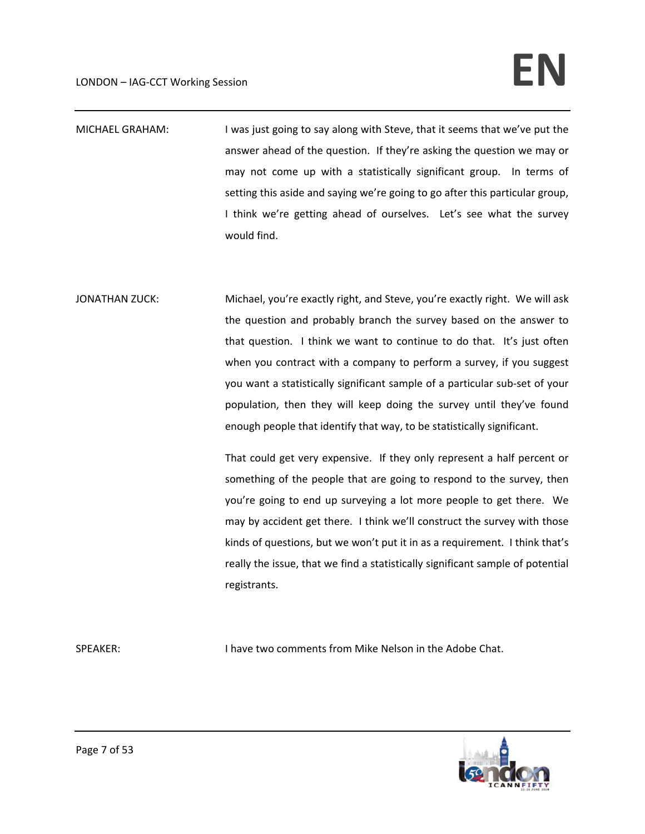# $LONDON - IAG-CCT Working Session$

- MICHAEL GRAHAM: I was just going to say along with Steve, that it seems that we've put the answer ahead of the question. If they're asking the question we may or may not come up with a statistically significant group. In terms of setting this aside and saying we're going to go after this particular group, I think we're getting ahead of ourselves. Let's see what the survey would find.
- JONATHAN ZUCK: Michael, you're exactly right, and Steve, you're exactly right. We will ask the question and probably branch the survey based on the answer to that question. I think we want to continue to do that. It's just often when you contract with a company to perform a survey, if you suggest you want a statistically significant sample of a particular sub‐set of your population, then they will keep doing the survey until they've found enough people that identify that way, to be statistically significant.

That could get very expensive. If they only represent a half percent or something of the people that are going to respond to the survey, then you're going to end up surveying a lot more people to get there. We may by accident get there. I think we'll construct the survey with those kinds of questions, but we won't put it in as a requirement. I think that's really the issue, that we find a statistically significant sample of potential registrants.

SPEAKER: I have two comments from Mike Nelson in the Adobe Chat.

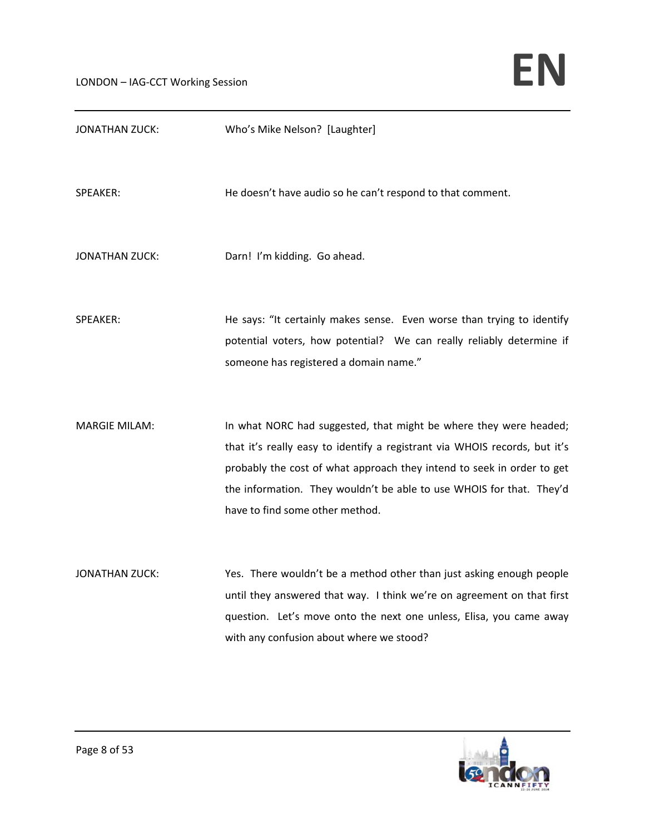| <b>JONATHAN ZUCK:</b> | Who's Mike Nelson? [Laughter]                                                                                                                                                                                                                                                                                                        |
|-----------------------|--------------------------------------------------------------------------------------------------------------------------------------------------------------------------------------------------------------------------------------------------------------------------------------------------------------------------------------|
| SPEAKER:              | He doesn't have audio so he can't respond to that comment.                                                                                                                                                                                                                                                                           |
| <b>JONATHAN ZUCK:</b> | Darn! I'm kidding. Go ahead.                                                                                                                                                                                                                                                                                                         |
| SPEAKER:              | He says: "It certainly makes sense. Even worse than trying to identify<br>potential voters, how potential? We can really reliably determine if<br>someone has registered a domain name."                                                                                                                                             |
| <b>MARGIE MILAM:</b>  | In what NORC had suggested, that might be where they were headed;<br>that it's really easy to identify a registrant via WHOIS records, but it's<br>probably the cost of what approach they intend to seek in order to get<br>the information. They wouldn't be able to use WHOIS for that. They'd<br>have to find some other method. |
| <b>JONATHAN ZUCK:</b> | Yes. There wouldn't be a method other than just asking enough people<br>until they answered that way. I think we're on agreement on that first<br>question. Let's move onto the next one unless, Elisa, you came away<br>with any confusion about where we stood?                                                                    |

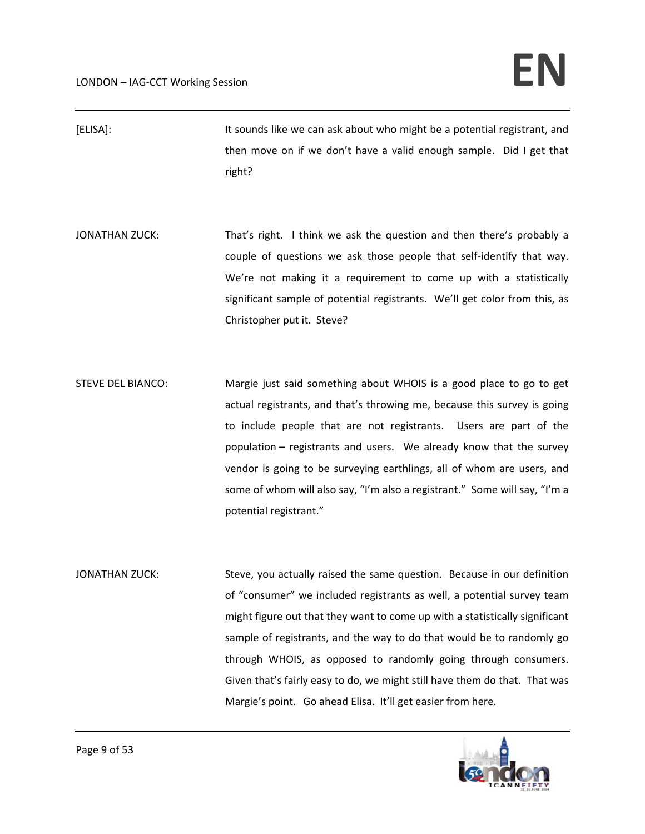- [ELISA]: It sounds like we can ask about who might be a potential registrant, and then move on if we don't have a valid enough sample. Did I get that right?
- JONATHAN ZUCK: That's right. I think we ask the question and then there's probably a couple of questions we ask those people that self‐identify that way. We're not making it a requirement to come up with a statistically significant sample of potential registrants. We'll get color from this, as Christopher put it. Steve?
- STEVE DEL BIANCO: Margie just said something about WHOIS is a good place to go to get actual registrants, and that's throwing me, because this survey is going to include people that are not registrants. Users are part of the population – registrants and users. We already know that the survey vendor is going to be surveying earthlings, all of whom are users, and some of whom will also say, "I'm also a registrant." Some will say, "I'm a potential registrant."
- JONATHAN ZUCK: Steve, you actually raised the same question. Because in our definition of "consumer" we included registrants as well, a potential survey team might figure out that they want to come up with a statistically significant sample of registrants, and the way to do that would be to randomly go through WHOIS, as opposed to randomly going through consumers. Given that's fairly easy to do, we might still have them do that. That was Margie's point. Go ahead Elisa. It'll get easier from here.

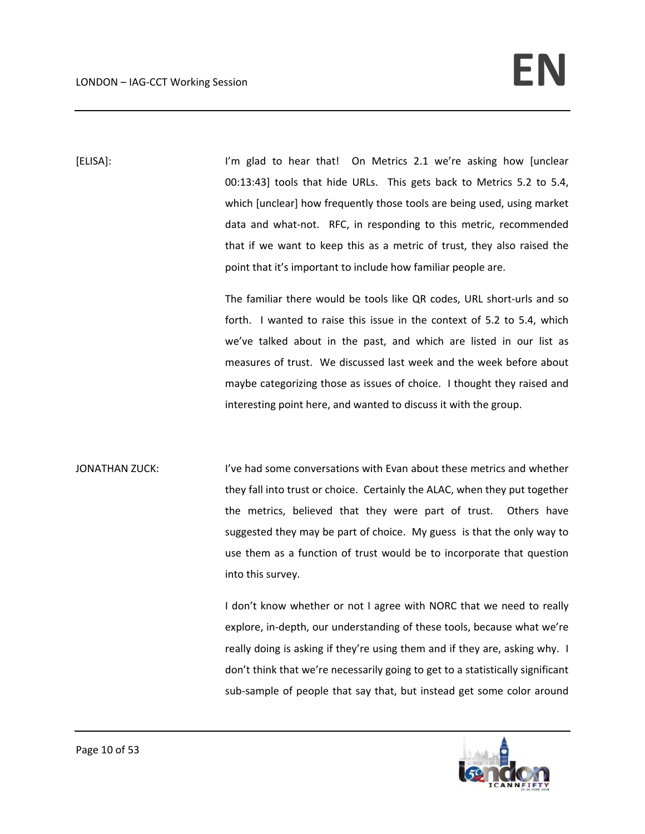[ELISA]: I'm glad to hear that! On Metrics 2.1 we're asking how [unclear 00:13:43] tools that hide URLs. This gets back to Metrics 5.2 to 5.4, which [unclear] how frequently those tools are being used, using market data and what-not. RFC, in responding to this metric, recommended that if we want to keep this as a metric of trust, they also raised the point that it's important to include how familiar people are.

> The familiar there would be tools like QR codes, URL short-urls and so forth. I wanted to raise this issue in the context of 5.2 to 5.4, which we've talked about in the past, and which are listed in our list as measures of trust. We discussed last week and the week before about maybe categorizing those as issues of choice. I thought they raised and interesting point here, and wanted to discuss it with the group.

JONATHAN ZUCK: I've had some conversations with Evan about these metrics and whether they fall into trust or choice. Certainly the ALAC, when they put together the metrics, believed that they were part of trust. Others have suggested they may be part of choice. My guess is that the only way to use them as a function of trust would be to incorporate that question into this survey.

> I don't know whether or not I agree with NORC that we need to really explore, in‐depth, our understanding of these tools, because what we're really doing is asking if they're using them and if they are, asking why. I don't think that we're necessarily going to get to a statistically significant sub-sample of people that say that, but instead get some color around

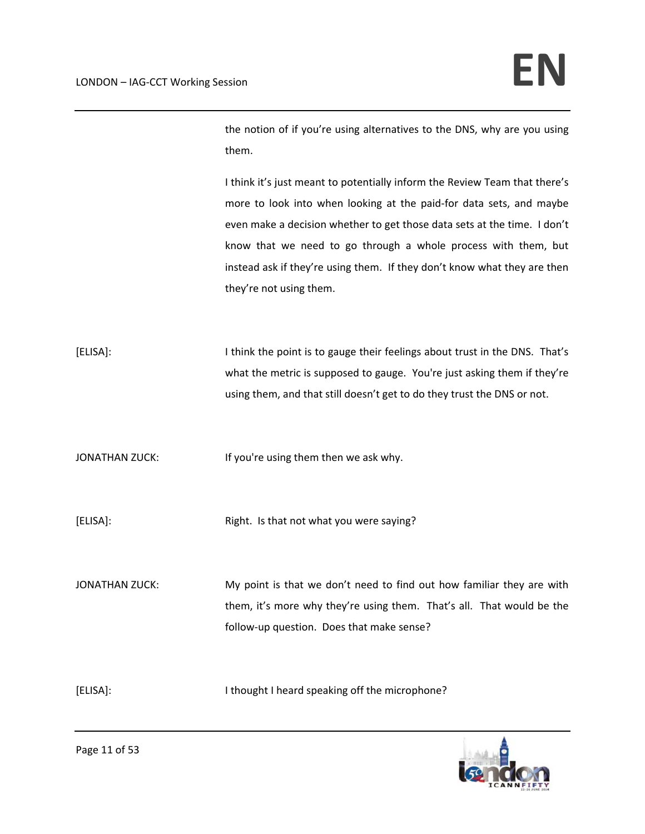the notion of if you're using alternatives to the DNS, why are you using them.

I think it's just meant to potentially inform the Review Team that there's more to look into when looking at the paid‐for data sets, and maybe even make a decision whether to get those data sets at the time. I don't know that we need to go through a whole process with them, but instead ask if they're using them. If they don't know what they are then they're not using them.

[ELISA]: I think the point is to gauge their feelings about trust in the DNS. That's what the metric is supposed to gauge. You're just asking them if they're using them, and that still doesn't get to do they trust the DNS or not.

JONATHAN ZUCK: If you're using them then we ask why.

[ELISA]: [ELISA]: Right. Is that not what you were saying?

JONATHAN ZUCK: My point is that we don't need to find out how familiar they are with them, it's more why they're using them. That's all. That would be the follow‐up question. Does that make sense?

[ELISA]: I thought I heard speaking off the microphone?

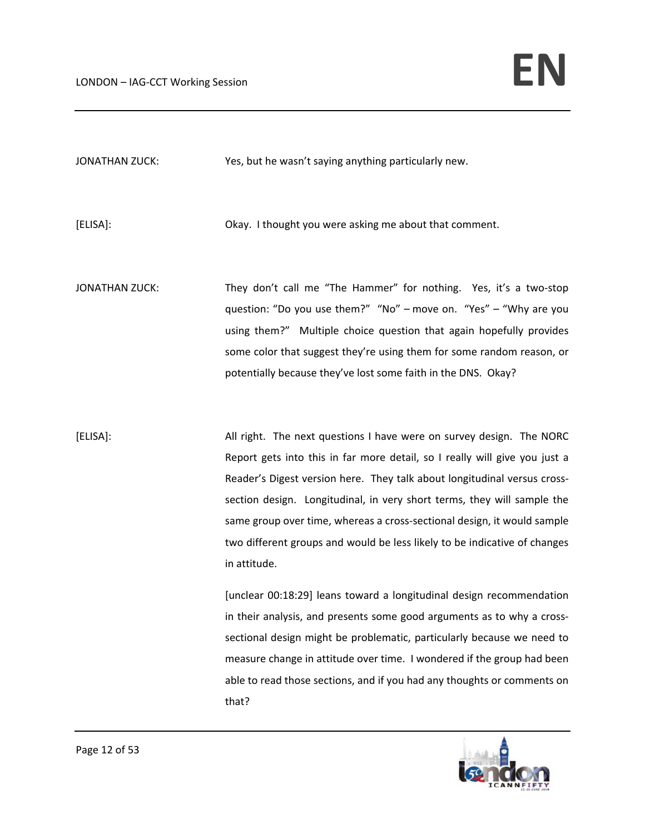JONATHAN ZUCK: Yes, but he wasn't saying anything particularly new.

[ELISA]: Okay. I thought you were asking me about that comment.

JONATHAN ZUCK: They don't call me "The Hammer" for nothing. Yes, it's a two-stop question: "Do you use them?" "No" – move on. "Yes" – "Why are you using them?" Multiple choice question that again hopefully provides some color that suggest they're using them for some random reason, or potentially because they've lost some faith in the DNS. Okay?

[ELISA]: All right. The next questions I have were on survey design. The NORC Report gets into this in far more detail, so I really will give you just a Reader's Digest version here. They talk about longitudinal versus cross‐ section design. Longitudinal, in very short terms, they will sample the same group over time, whereas a cross‐sectional design, it would sample two different groups and would be less likely to be indicative of changes in attitude.

> [unclear 00:18:29] leans toward a longitudinal design recommendation in their analysis, and presents some good arguments as to why a cross‐ sectional design might be problematic, particularly because we need to measure change in attitude over time. I wondered if the group had been able to read those sections, and if you had any thoughts or comments on that?

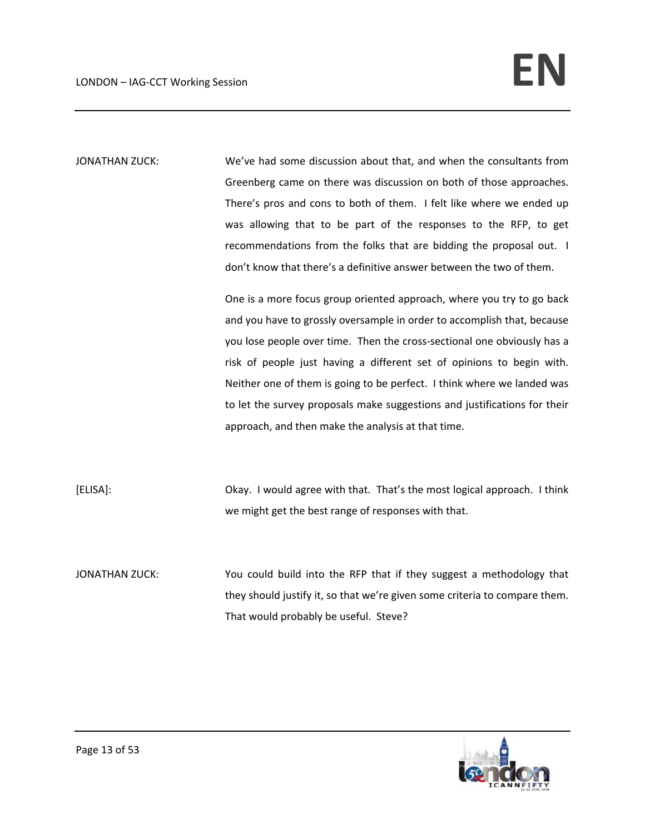JONATHAN ZUCK: We've had some discussion about that, and when the consultants from Greenberg came on there was discussion on both of those approaches. There's pros and cons to both of them. I felt like where we ended up was allowing that to be part of the responses to the RFP, to get recommendations from the folks that are bidding the proposal out. I don't know that there's a definitive answer between the two of them.

> One is a more focus group oriented approach, where you try to go back and you have to grossly oversample in order to accomplish that, because you lose people over time. Then the cross‐sectional one obviously has a risk of people just having a different set of opinions to begin with. Neither one of them is going to be perfect. I think where we landed was to let the survey proposals make suggestions and justifications for their approach, and then make the analysis at that time.

[ELISA]: Okay. I would agree with that. That's the most logical approach. I think we might get the best range of responses with that.

JONATHAN ZUCK: You could build into the RFP that if they suggest a methodology that they should justify it, so that we're given some criteria to compare them. That would probably be useful. Steve?

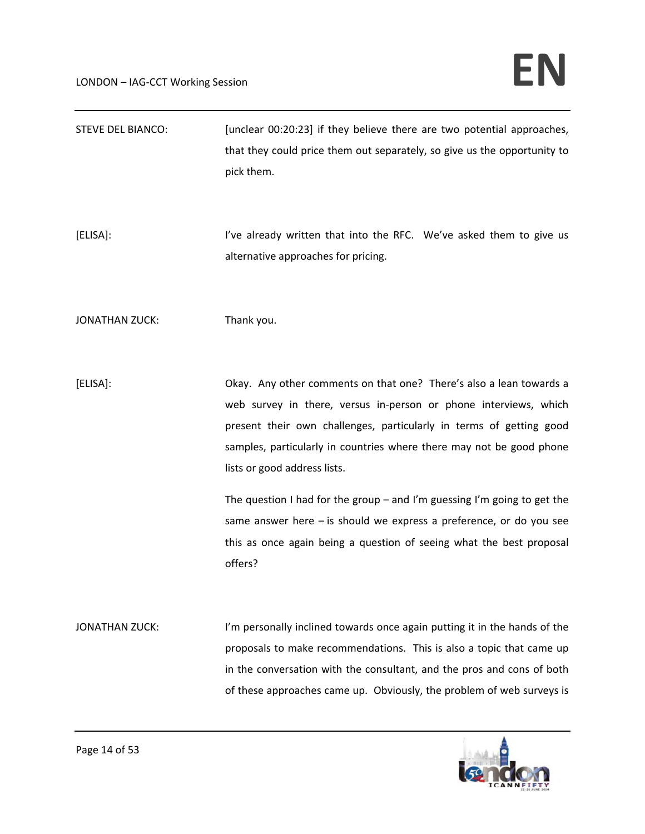| <b>STEVE DEL BIANCO:</b> | [unclear 00:20:23] if they believe there are two potential approaches,<br>that they could price them out separately, so give us the opportunity to<br>pick them.                                                                                                                                                                                                                                                                                                                                                                                                 |
|--------------------------|------------------------------------------------------------------------------------------------------------------------------------------------------------------------------------------------------------------------------------------------------------------------------------------------------------------------------------------------------------------------------------------------------------------------------------------------------------------------------------------------------------------------------------------------------------------|
| [ELISA]:                 | I've already written that into the RFC. We've asked them to give us<br>alternative approaches for pricing.                                                                                                                                                                                                                                                                                                                                                                                                                                                       |
| <b>JONATHAN ZUCK:</b>    | Thank you.                                                                                                                                                                                                                                                                                                                                                                                                                                                                                                                                                       |
| [ELISA]:                 | Okay. Any other comments on that one? There's also a lean towards a<br>web survey in there, versus in-person or phone interviews, which<br>present their own challenges, particularly in terms of getting good<br>samples, particularly in countries where there may not be good phone<br>lists or good address lists.<br>The question I had for the group $-$ and I'm guessing I'm going to get the<br>same answer here $-$ is should we express a preference, or do you see<br>this as once again being a question of seeing what the best proposal<br>offers? |
| <b>JONATHAN ZUCK:</b>    | I'm personally inclined towards once again putting it in the hands of the<br>proposals to make recommendations. This is also a topic that came up<br>in the conversation with the consultant, and the pros and cons of both<br>of these approaches came up. Obviously, the problem of web surveys is                                                                                                                                                                                                                                                             |

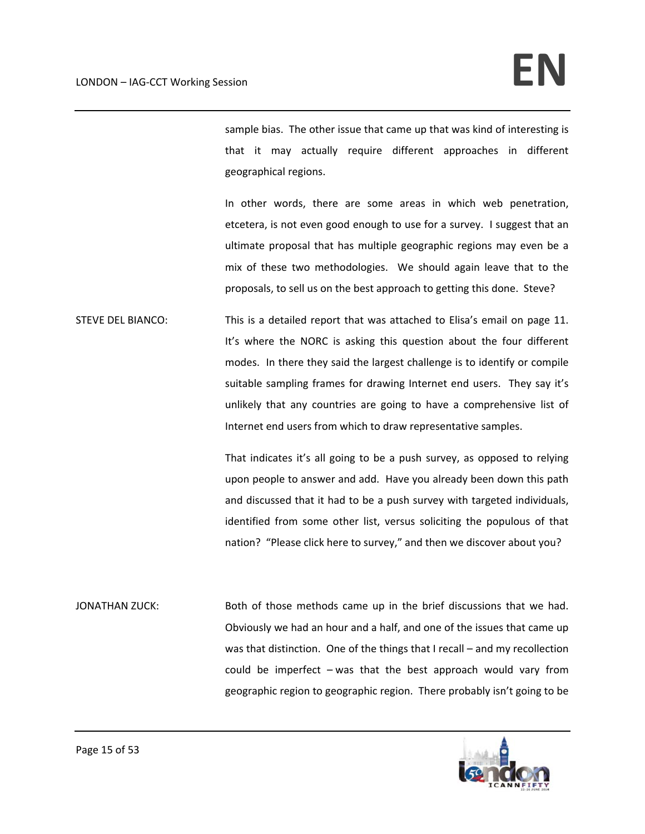sample bias. The other issue that came up that was kind of interesting is that it may actually require different approaches in different geographical regions.

In other words, there are some areas in which web penetration, etcetera, is not even good enough to use for a survey. I suggest that an ultimate proposal that has multiple geographic regions may even be a mix of these two methodologies. We should again leave that to the proposals, to sell us on the best approach to getting this done. Steve?

STEVE DEL BIANCO: This is a detailed report that was attached to Elisa's email on page 11. It's where the NORC is asking this question about the four different modes. In there they said the largest challenge is to identify or compile suitable sampling frames for drawing Internet end users. They say it's unlikely that any countries are going to have a comprehensive list of Internet end users from which to draw representative samples.

> That indicates it's all going to be a push survey, as opposed to relying upon people to answer and add. Have you already been down this path and discussed that it had to be a push survey with targeted individuals, identified from some other list, versus soliciting the populous of that nation? "Please click here to survey," and then we discover about you?

JONATHAN ZUCK: Both of those methods came up in the brief discussions that we had. Obviously we had an hour and a half, and one of the issues that came up was that distinction. One of the things that I recall – and my recollection could be imperfect – was that the best approach would vary from geographic region to geographic region. There probably isn't going to be

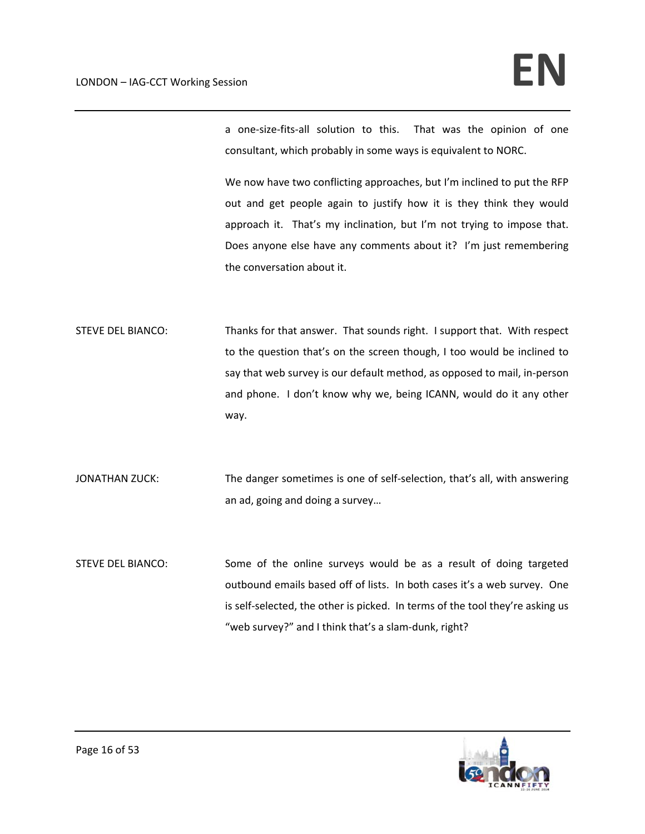a one-size-fits-all solution to this. That was the opinion of one consultant, which probably in some ways is equivalent to NORC.

We now have two conflicting approaches, but I'm inclined to put the RFP out and get people again to justify how it is they think they would approach it. That's my inclination, but I'm not trying to impose that. Does anyone else have any comments about it? I'm just remembering the conversation about it.

STEVE DEL BIANCO: Thanks for that answer. That sounds right. I support that. With respect to the question that's on the screen though, I too would be inclined to say that web survey is our default method, as opposed to mail, in‐person and phone. I don't know why we, being ICANN, would do it any other way.

JONATHAN ZUCK: The danger sometimes is one of self-selection, that's all, with answering an ad, going and doing a survey…

STEVE DEL BIANCO: Some of the online surveys would be as a result of doing targeted outbound emails based off of lists. In both cases it's a web survey. One is self-selected, the other is picked. In terms of the tool they're asking us "web survey?" and I think that's a slam‐dunk, right?

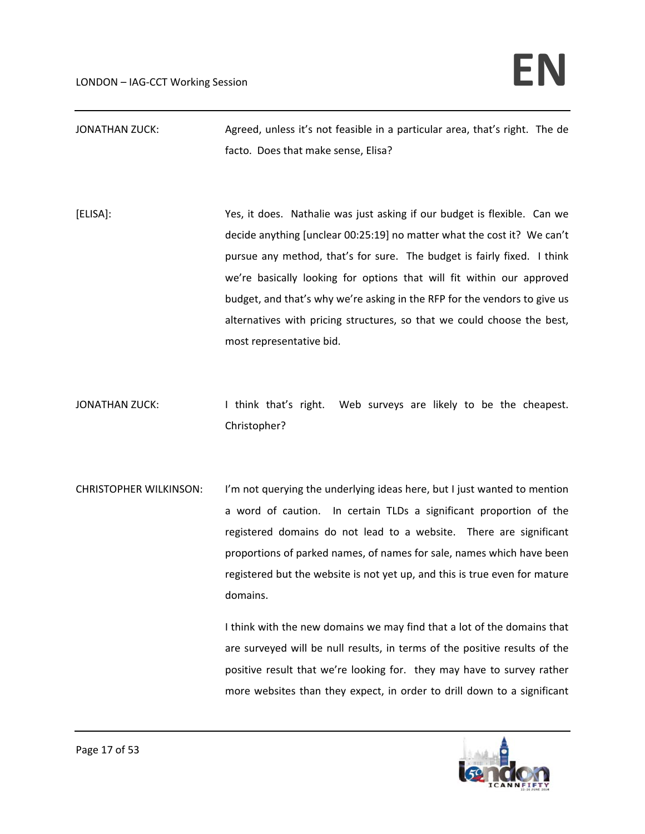| JONATHAN ZUCK: | Agreed, unless it's not feasible in a particular area, that's right. The de |  |
|----------------|-----------------------------------------------------------------------------|--|
|                | facto. Does that make sense, Elisa?                                         |  |

- [ELISA]: Yes, it does. Nathalie was just asking if our budget is flexible. Can we decide anything [unclear 00:25:19] no matter what the cost it? We can't pursue any method, that's for sure. The budget is fairly fixed. I think we're basically looking for options that will fit within our approved budget, and that's why we're asking in the RFP for the vendors to give us alternatives with pricing structures, so that we could choose the best, most representative bid.
- JONATHAN ZUCK: I think that's right. Web surveys are likely to be the cheapest. Christopher?
- CHRISTOPHER WILKINSON: I'm not querying the underlying ideas here, but I just wanted to mention a word of caution. In certain TLDs a significant proportion of the registered domains do not lead to a website. There are significant proportions of parked names, of names for sale, names which have been registered but the website is not yet up, and this is true even for mature domains.

I think with the new domains we may find that a lot of the domains that are surveyed will be null results, in terms of the positive results of the positive result that we're looking for. they may have to survey rather more websites than they expect, in order to drill down to a significant

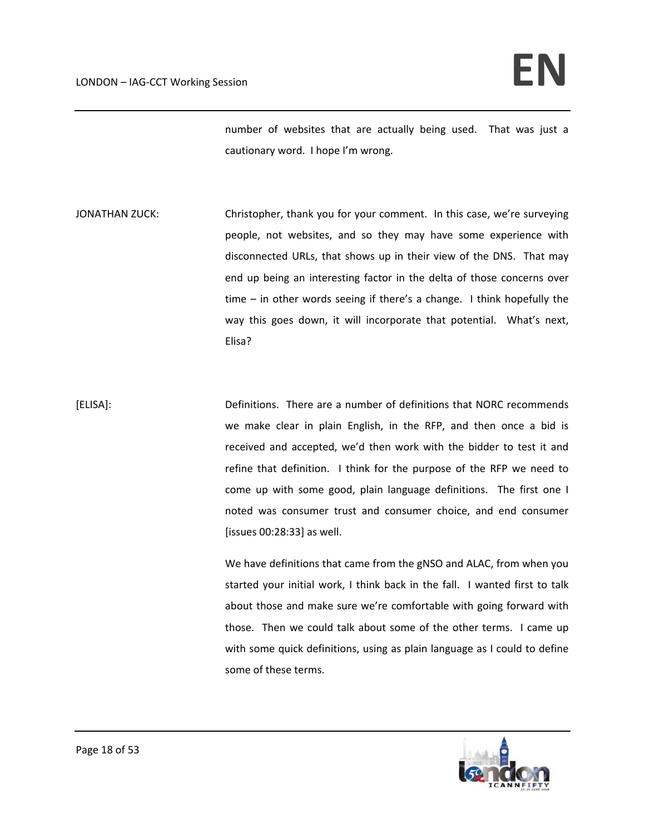number of websites that are actually being used. That was just a cautionary word. I hope I'm wrong.

JONATHAN ZUCK: Christopher, thank you for your comment. In this case, we're surveying people, not websites, and so they may have some experience with disconnected URLs, that shows up in their view of the DNS. That may end up being an interesting factor in the delta of those concerns over time – in other words seeing if there's a change. I think hopefully the way this goes down, it will incorporate that potential. What's next, Elisa?

[ELISA]: Definitions. There are a number of definitions that NORC recommends we make clear in plain English, in the RFP, and then once a bid is received and accepted, we'd then work with the bidder to test it and refine that definition. I think for the purpose of the RFP we need to come up with some good, plain language definitions. The first one I noted was consumer trust and consumer choice, and end consumer [issues 00:28:33] as well.

> We have definitions that came from the gNSO and ALAC, from when you started your initial work, I think back in the fall. I wanted first to talk about those and make sure we're comfortable with going forward with those. Then we could talk about some of the other terms. I came up with some quick definitions, using as plain language as I could to define some of these terms.

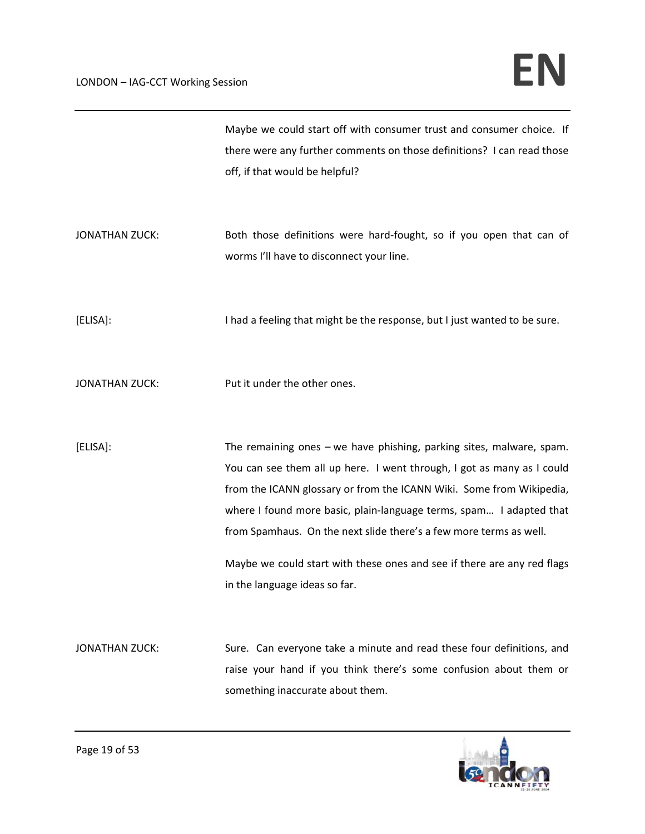|                       | Maybe we could start off with consumer trust and consumer choice. If      |
|-----------------------|---------------------------------------------------------------------------|
|                       | there were any further comments on those definitions? I can read those    |
|                       | off, if that would be helpful?                                            |
|                       |                                                                           |
|                       |                                                                           |
| <b>JONATHAN ZUCK:</b> | Both those definitions were hard-fought, so if you open that can of       |
|                       | worms I'll have to disconnect your line.                                  |
|                       |                                                                           |
|                       |                                                                           |
| [ELISA]:              | I had a feeling that might be the response, but I just wanted to be sure. |
|                       |                                                                           |
|                       |                                                                           |
| <b>JONATHAN ZUCK:</b> | Put it under the other ones.                                              |
|                       |                                                                           |
|                       |                                                                           |
| [ELISA]:              | The remaining ones $-\omega$ have phishing, parking sites, malware, spam. |
|                       | You can see them all up here. I went through, I got as many as I could    |
|                       |                                                                           |
|                       |                                                                           |
|                       | from the ICANN glossary or from the ICANN Wiki. Some from Wikipedia,      |
|                       | where I found more basic, plain-language terms, spam I adapted that       |
|                       | from Spamhaus. On the next slide there's a few more terms as well.        |
|                       | Maybe we could start with these ones and see if there are any red flags   |
|                       | in the language ideas so far.                                             |
|                       |                                                                           |
|                       |                                                                           |
| <b>JONATHAN ZUCK:</b> | Sure. Can everyone take a minute and read these four definitions, and     |
|                       | raise your hand if you think there's some confusion about them or         |
|                       | something inaccurate about them.                                          |

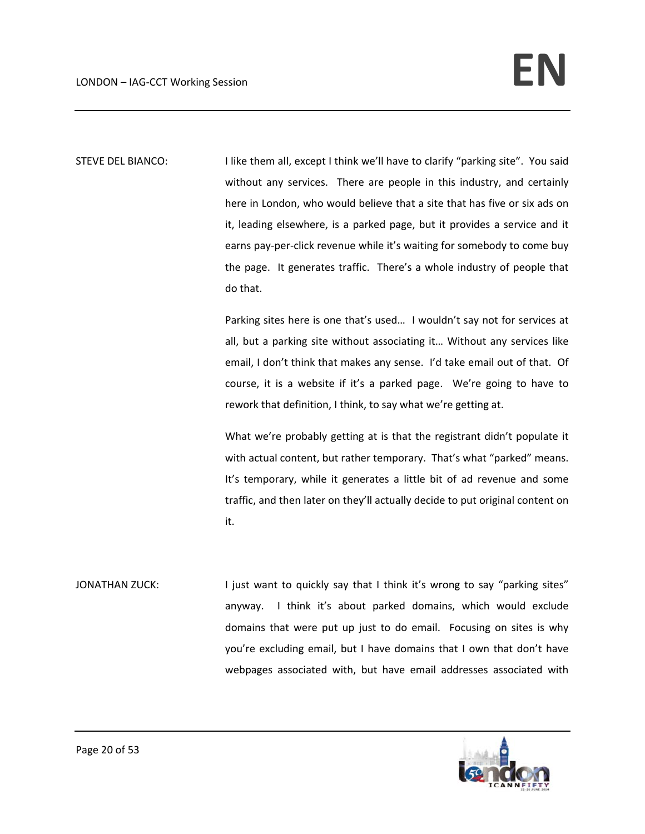STEVE DEL BIANCO: I like them all, except I think we'll have to clarify "parking site". You said without any services. There are people in this industry, and certainly here in London, who would believe that a site that has five or six ads on it, leading elsewhere, is a parked page, but it provides a service and it earns pay-per-click revenue while it's waiting for somebody to come buy the page. It generates traffic. There's a whole industry of people that do that.

> Parking sites here is one that's used… I wouldn't say not for services at all, but a parking site without associating it… Without any services like email, I don't think that makes any sense. I'd take email out of that. Of course, it is a website if it's a parked page. We're going to have to rework that definition, I think, to say what we're getting at.

> What we're probably getting at is that the registrant didn't populate it with actual content, but rather temporary. That's what "parked" means. It's temporary, while it generates a little bit of ad revenue and some traffic, and then later on they'll actually decide to put original content on it.

JONATHAN ZUCK: I just want to quickly say that I think it's wrong to say "parking sites" anyway. I think it's about parked domains, which would exclude domains that were put up just to do email. Focusing on sites is why you're excluding email, but I have domains that I own that don't have webpages associated with, but have email addresses associated with

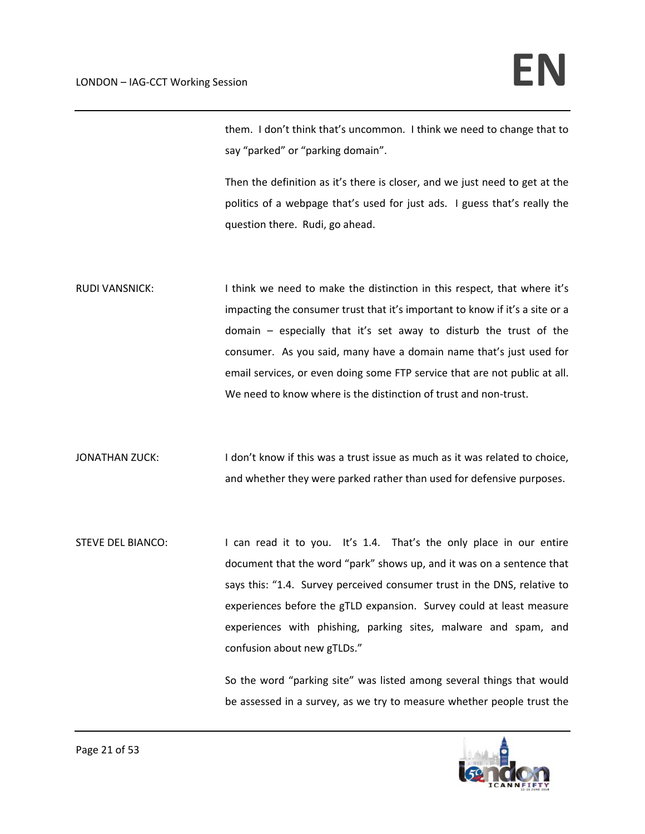them. I don't think that's uncommon. I think we need to change that to say "parked" or "parking domain".

Then the definition as it's there is closer, and we just need to get at the politics of a webpage that's used for just ads. I guess that's really the question there. Rudi, go ahead.

RUDI VANSNICK: I think we need to make the distinction in this respect, that where it's impacting the consumer trust that it's important to know if it's a site or a domain – especially that it's set away to disturb the trust of the consumer. As you said, many have a domain name that's just used for email services, or even doing some FTP service that are not public at all. We need to know where is the distinction of trust and non-trust.

JONATHAN ZUCK: I don't know if this was a trust issue as much as it was related to choice, and whether they were parked rather than used for defensive purposes.

STEVE DEL BIANCO: I can read it to you. It's 1.4. That's the only place in our entire document that the word "park" shows up, and it was on a sentence that says this: "1.4. Survey perceived consumer trust in the DNS, relative to experiences before the gTLD expansion. Survey could at least measure experiences with phishing, parking sites, malware and spam, and confusion about new gTLDs."

> So the word "parking site" was listed among several things that would be assessed in a survey, as we try to measure whether people trust the

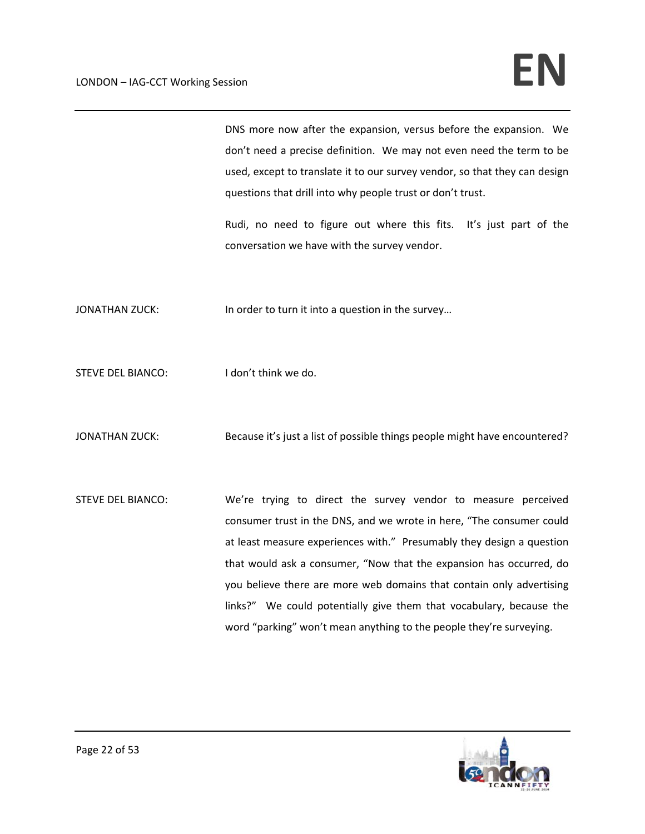DNS more now after the expansion, versus before the expansion. We don't need a precise definition. We may not even need the term to be used, except to translate it to our survey vendor, so that they can design questions that drill into why people trust or don't trust.

Rudi, no need to figure out where this fits. It's just part of the conversation we have with the survey vendor.

JONATHAN ZUCK: In order to turn it into a question in the survey...

STEVE DEL BIANCO: I don't think we do.

JONATHAN ZUCK: Because it's just a list of possible things people might have encountered?

STEVE DEL BIANCO: We're trying to direct the survey vendor to measure perceived consumer trust in the DNS, and we wrote in here, "The consumer could at least measure experiences with." Presumably they design a question that would ask a consumer, "Now that the expansion has occurred, do you believe there are more web domains that contain only advertising links?" We could potentially give them that vocabulary, because the word "parking" won't mean anything to the people they're surveying.

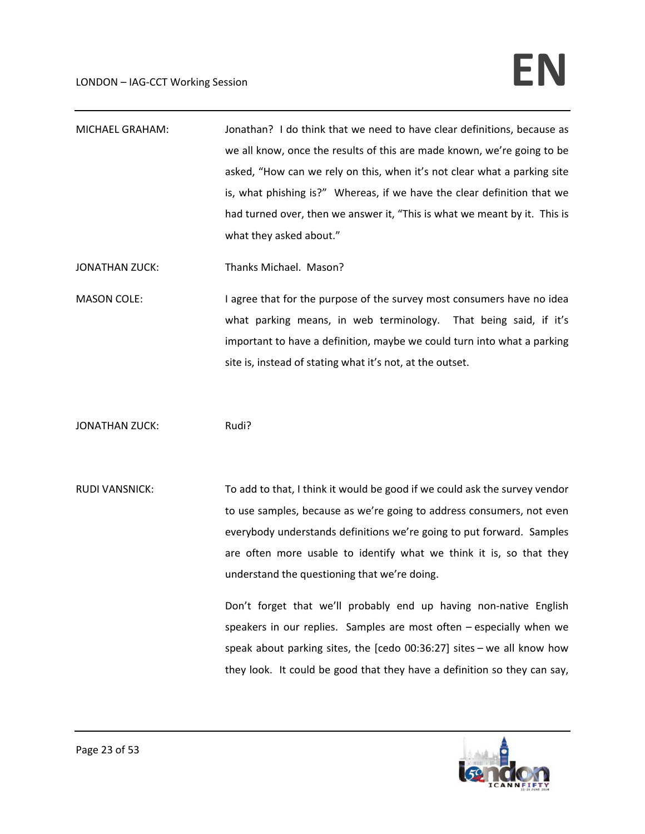MICHAEL GRAHAM: Jonathan? I do think that we need to have clear definitions, because as we all know, once the results of this are made known, we're going to be asked, "How can we rely on this, when it's not clear what a parking site is, what phishing is?" Whereas, if we have the clear definition that we had turned over, then we answer it, "This is what we meant by it. This is what they asked about."

JONATHAN ZUCK: Thanks Michael. Mason?

MASON COLE: I agree that for the purpose of the survey most consumers have no idea what parking means, in web terminology. That being said, if it's important to have a definition, maybe we could turn into what a parking site is, instead of stating what it's not, at the outset.

JONATHAN ZUCK: Rudi?

RUDI VANSNICK: To add to that, I think it would be good if we could ask the survey vendor to use samples, because as we're going to address consumers, not even everybody understands definitions we're going to put forward. Samples are often more usable to identify what we think it is, so that they understand the questioning that we're doing.

> Don't forget that we'll probably end up having non-native English speakers in our replies. Samples are most often - especially when we speak about parking sites, the [cedo 00:36:27] sites – we all know how they look. It could be good that they have a definition so they can say,

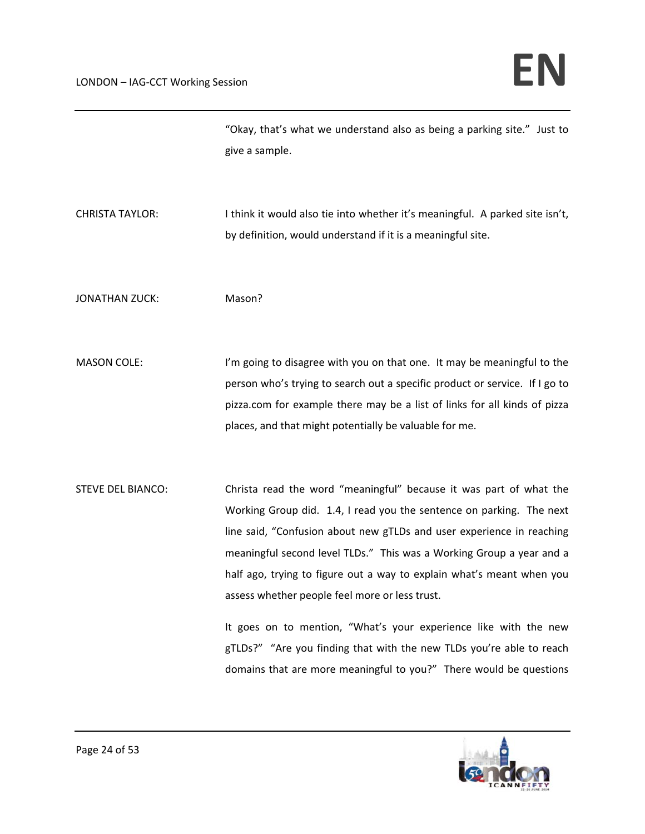| "Okay, that's what we understand also as being a parking site." Just to |  |
|-------------------------------------------------------------------------|--|
| give a sample.                                                          |  |

CHRISTA TAYLOR: Ithink it would also tie into whether it's meaningful. A parked site isn't, by definition, would understand if it is a meaningful site.

JONATHAN ZUCK: Mason?

MASON COLE: I'm going to disagree with you on that one. It may be meaningful to the person who's trying to search out a specific product or service. If I go to pizza.com for example there may be a list of links for all kinds of pizza places, and that might potentially be valuable for me.

STEVE DEL BIANCO: Christa read the word "meaningful" because it was part of what the Working Group did. 1.4, I read you the sentence on parking. The next line said, "Confusion about new gTLDs and user experience in reaching meaningful second level TLDs." This was a Working Group a year and a half ago, trying to figure out a way to explain what's meant when you assess whether people feel more or less trust.

> It goes on to mention, "What's your experience like with the new gTLDs?" "Are you finding that with the new TLDs you're able to reach domains that are more meaningful to you?" There would be questions

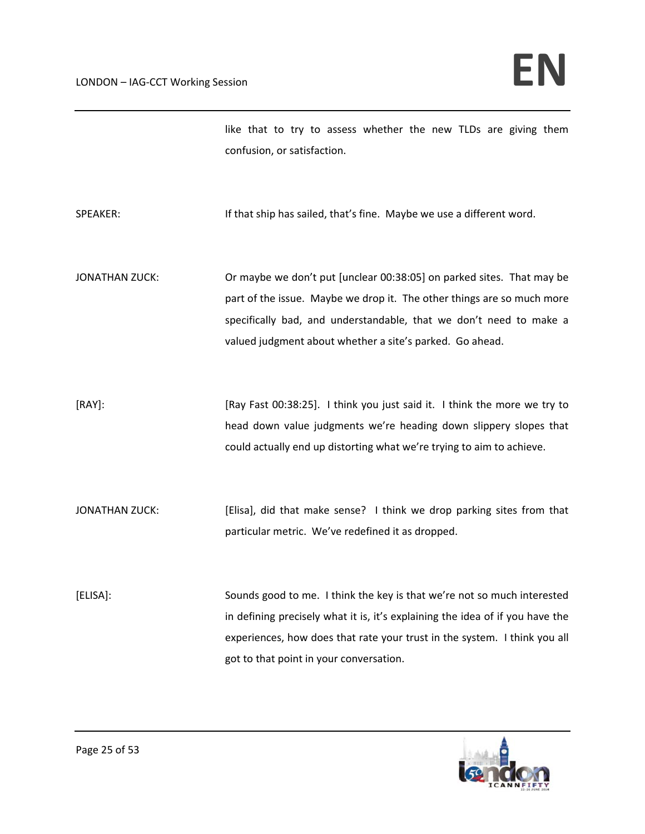like that to try to assess whether the new TLDs are giving them confusion, or satisfaction.

SPEAKER: If that ship has sailed, that's fine. Maybe we use a different word.

JONATHAN ZUCK: Or maybe we don't put [unclear 00:38:05] on parked sites. That may be part of the issue. Maybe we drop it. The other things are so much more specifically bad, and understandable, that we don't need to make a valued judgment about whether a site's parked. Go ahead.

[RAY]: [Ray Fast 00:38:25]. I think you just said it. I think the more we try to head down value judgments we're heading down slippery slopes that could actually end up distorting what we're trying to aim to achieve.

JONATHAN ZUCK: [Elisa], did that make sense? I think we drop parking sites from that particular metric. We've redefined it as dropped.

[ELISA]: Sounds good to me. I think the key is that we're not so much interested in defining precisely what it is, it's explaining the idea of if you have the experiences, how does that rate your trust in the system. I think you all got to that point in your conversation.

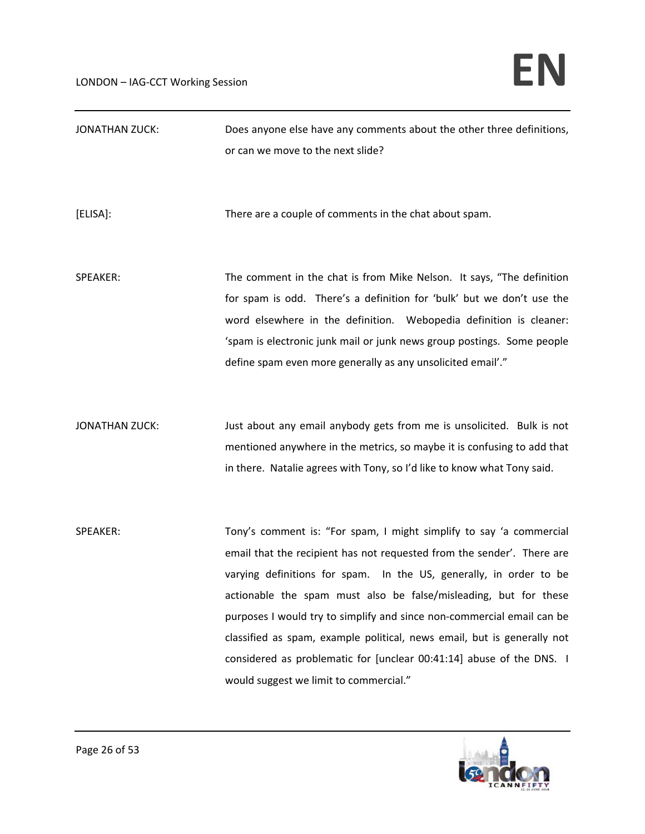| <b>JONATHAN ZUCK:</b> | Does anyone else have any comments about the other three definitions,                                                                                                                                                                                                                                                                                                                                                                                                                                                                                          |
|-----------------------|----------------------------------------------------------------------------------------------------------------------------------------------------------------------------------------------------------------------------------------------------------------------------------------------------------------------------------------------------------------------------------------------------------------------------------------------------------------------------------------------------------------------------------------------------------------|
|                       | or can we move to the next slide?                                                                                                                                                                                                                                                                                                                                                                                                                                                                                                                              |
| [ELISA]:              | There are a couple of comments in the chat about spam.                                                                                                                                                                                                                                                                                                                                                                                                                                                                                                         |
| SPEAKER:              | The comment in the chat is from Mike Nelson. It says, "The definition<br>for spam is odd. There's a definition for 'bulk' but we don't use the<br>word elsewhere in the definition. Webopedia definition is cleaner:<br>'spam is electronic junk mail or junk news group postings. Some people<br>define spam even more generally as any unsolicited email'."                                                                                                                                                                                                  |
| <b>JONATHAN ZUCK:</b> | Just about any email anybody gets from me is unsolicited. Bulk is not<br>mentioned anywhere in the metrics, so maybe it is confusing to add that<br>in there. Natalie agrees with Tony, so I'd like to know what Tony said.                                                                                                                                                                                                                                                                                                                                    |
| SPEAKER:              | Tony's comment is: "For spam, I might simplify to say 'a commercial<br>email that the recipient has not requested from the sender'. There are<br>varying definitions for spam. In the US, generally, in order to be<br>actionable the spam must also be false/misleading, but for these<br>purposes I would try to simplify and since non-commercial email can be<br>classified as spam, example political, news email, but is generally not<br>considered as problematic for [unclear 00:41:14] abuse of the DNS. I<br>would suggest we limit to commercial." |

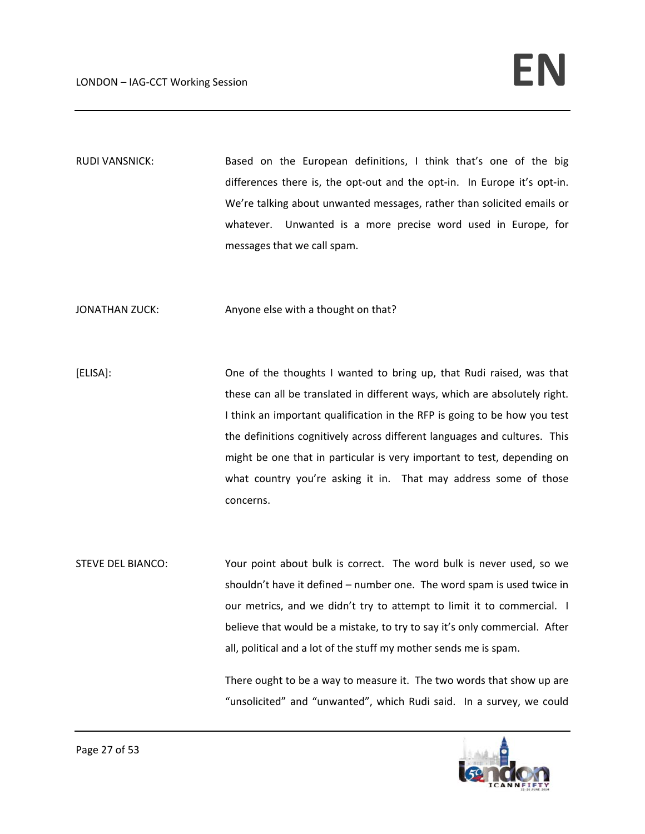RUDI VANSNICK: Based on the European definitions, I think that's one of the big differences there is, the opt-out and the opt-in. In Europe it's opt-in. We're talking about unwanted messages, rather than solicited emails or whatever. Unwanted is a more precise word used in Europe, for messages that we call spam.

JONATHAN ZUCK: Anyone else with a thought on that?

[ELISA]: One of the thoughts I wanted to bring up, that Rudi raised, was that these can all be translated in different ways, which are absolutely right. I think an important qualification in the RFP is going to be how you test the definitions cognitively across different languages and cultures. This might be one that in particular is very important to test, depending on what country you're asking it in. That may address some of those concerns.

STEVE DEL BIANCO: Your point about bulk is correct. The word bulk is never used, so we shouldn't have it defined – number one. The word spam is used twice in our metrics, and we didn't try to attempt to limit it to commercial. I believe that would be a mistake, to try to say it's only commercial. After all, political and a lot of the stuff my mother sends me is spam.

> There ought to be a way to measure it. The two words that show up are "unsolicited" and "unwanted", which Rudi said. In a survey, we could

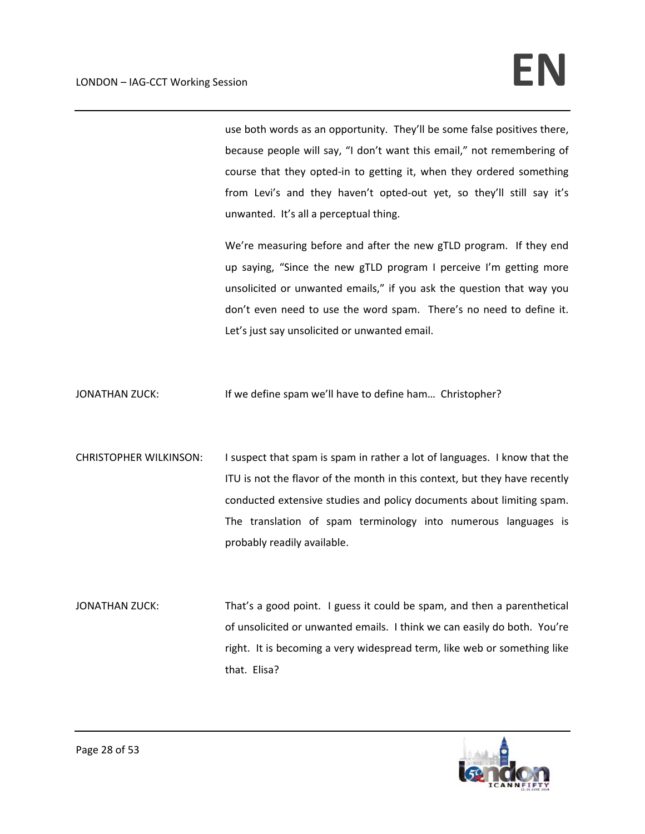use both words as an opportunity. They'll be some false positives there, because people will say, "I don't want this email," not remembering of course that they opted‐in to getting it, when they ordered something from Levi's and they haven't opted-out yet, so they'll still say it's unwanted. It's all a perceptual thing.

We're measuring before and after the new gTLD program. If they end up saying, "Since the new gTLD program I perceive I'm getting more unsolicited or unwanted emails," if you ask the question that way you don't even need to use the word spam. There's no need to define it. Let's just say unsolicited or unwanted email.

JONATHAN ZUCK: If we define spam we'll have to define ham… Christopher?

- CHRISTOPHER WILKINSON: I suspect that spam is spam in rather a lot of languages. I know that the ITU is not the flavor of the month in this context, but they have recently conducted extensive studies and policy documents about limiting spam. The translation of spam terminology into numerous languages is probably readily available.
- JONATHAN ZUCK: That's a good point. I guess it could be spam, and then a parenthetical of unsolicited or unwanted emails. I think we can easily do both. You're right. It is becoming a very widespread term, like web or something like that. Elisa?

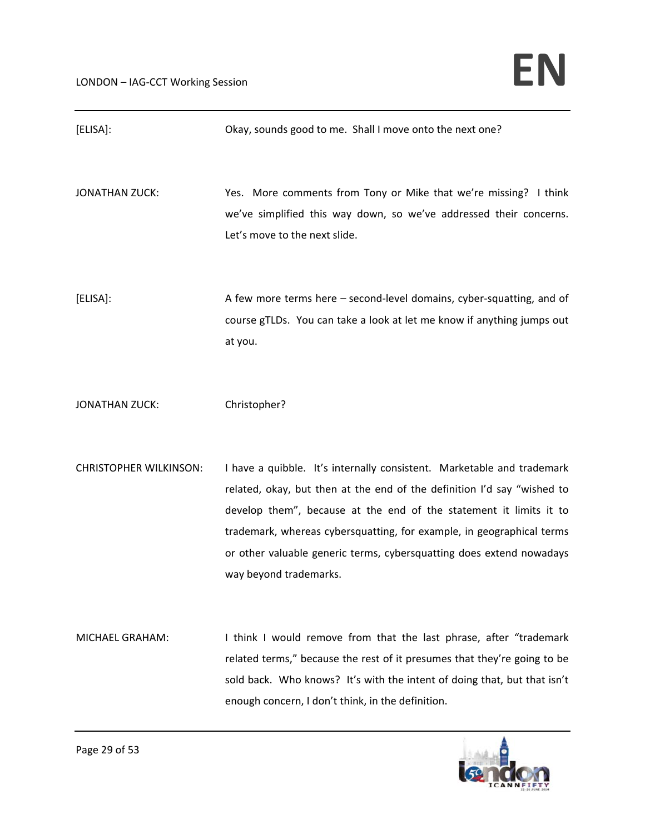| [ELISA]:                      | Okay, sounds good to me. Shall I move onto the next one?                                                                                                                                                                                                                                                                                                                                           |
|-------------------------------|----------------------------------------------------------------------------------------------------------------------------------------------------------------------------------------------------------------------------------------------------------------------------------------------------------------------------------------------------------------------------------------------------|
| <b>JONATHAN ZUCK:</b>         | Yes. More comments from Tony or Mike that we're missing? I think<br>we've simplified this way down, so we've addressed their concerns.<br>Let's move to the next slide.                                                                                                                                                                                                                            |
| [ELISA]:                      | A few more terms here - second-level domains, cyber-squatting, and of<br>course gTLDs. You can take a look at let me know if anything jumps out<br>at you.                                                                                                                                                                                                                                         |
| <b>JONATHAN ZUCK:</b>         | Christopher?                                                                                                                                                                                                                                                                                                                                                                                       |
| <b>CHRISTOPHER WILKINSON:</b> | I have a quibble. It's internally consistent. Marketable and trademark<br>related, okay, but then at the end of the definition I'd say "wished to<br>develop them", because at the end of the statement it limits it to<br>trademark, whereas cybersquatting, for example, in geographical terms<br>or other valuable generic terms, cybersquatting does extend nowadays<br>way beyond trademarks. |
| MICHAEL GRAHAM:               | I think I would remove from that the last phrase, after "trademark<br>related terms," because the rest of it presumes that they're going to be                                                                                                                                                                                                                                                     |



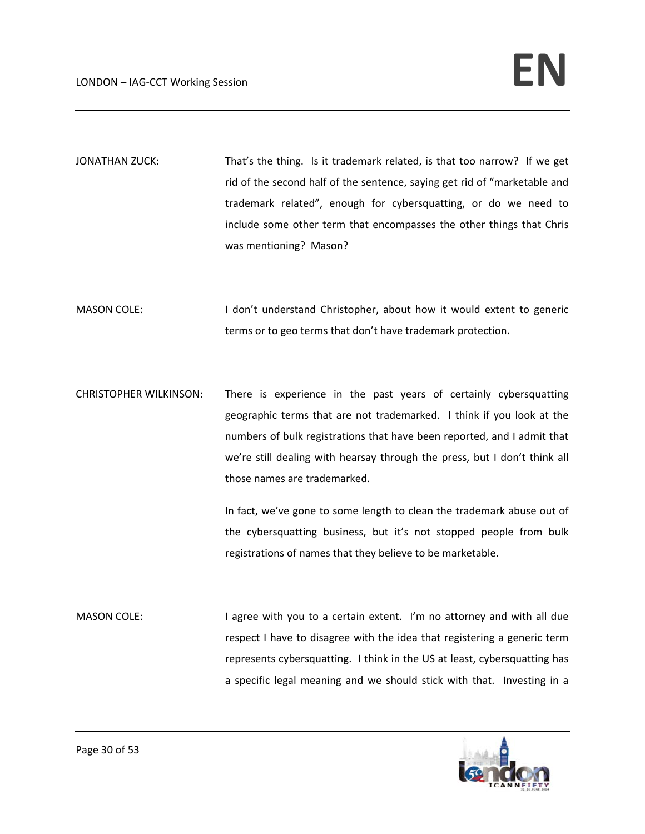JONATHAN ZUCK: That's the thing. Is it trademark related, is that too narrow? If we get rid of the second half of the sentence, saying get rid of "marketable and trademark related", enough for cybersquatting, or do we need to include some other term that encompasses the other things that Chris was mentioning? Mason?

MASON COLE: I don't understand Christopher, about how it would extent to generic terms or to geo terms that don't have trademark protection.

CHRISTOPHER WILKINSON: There is experience in the past years of certainly cybersquatting geographic terms that are not trademarked. I think if you look at the numbers of bulk registrations that have been reported, and I admit that we're still dealing with hearsay through the press, but I don't think all those names are trademarked.

> In fact, we've gone to some length to clean the trademark abuse out of the cybersquatting business, but it's not stopped people from bulk registrations of names that they believe to be marketable.

MASON COLE: I agree with you to a certain extent. I'm no attorney and with all due respect I have to disagree with the idea that registering a generic term represents cybersquatting. I think in the US at least, cybersquatting has a specific legal meaning and we should stick with that. Investing in a

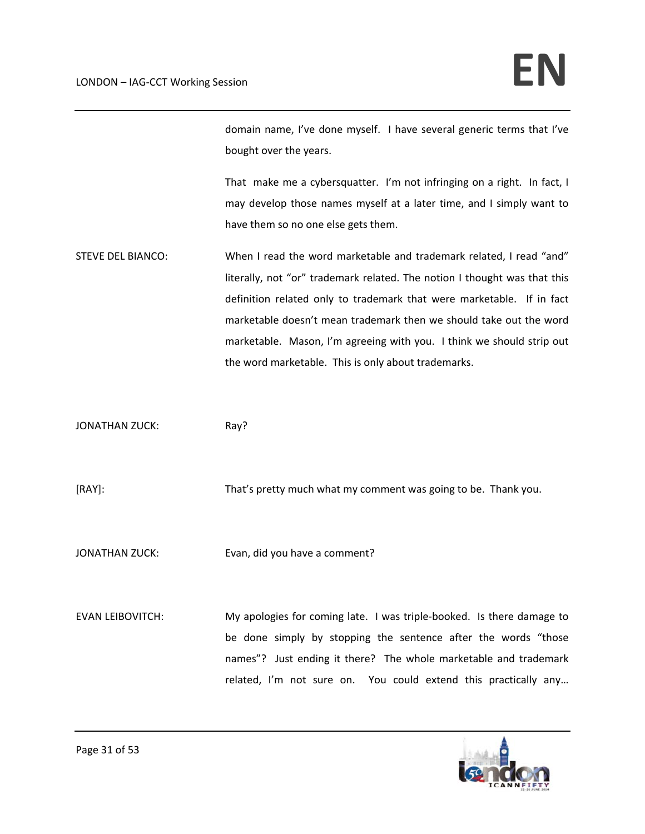domain name, I've done myself. I have several generic terms that I've bought over the years.

That make me a cybersquatter. I'm not infringing on a right. In fact, I may develop those names myself at a later time, and I simply want to have them so no one else gets them.

STEVE DEL BIANCO: When I read the word marketable and trademark related, I read "and" literally, not "or" trademark related. The notion I thought was that this definition related only to trademark that were marketable. If in fact marketable doesn't mean trademark then we should take out the word marketable. Mason, I'm agreeing with you. I think we should strip out the word marketable. This is only about trademarks.

JONATHAN ZUCK: Ray?

[RAY]: That's pretty much what my comment was going to be. Thank you.

JONATHAN ZUCK: Evan, did you have a comment?

EVAN LEIBOVITCH: My apologies for coming late. I was triple‐booked. Is there damage to be done simply by stopping the sentence after the words "those names"? Just ending it there? The whole marketable and trademark related, I'm not sure on. You could extend this practically any...

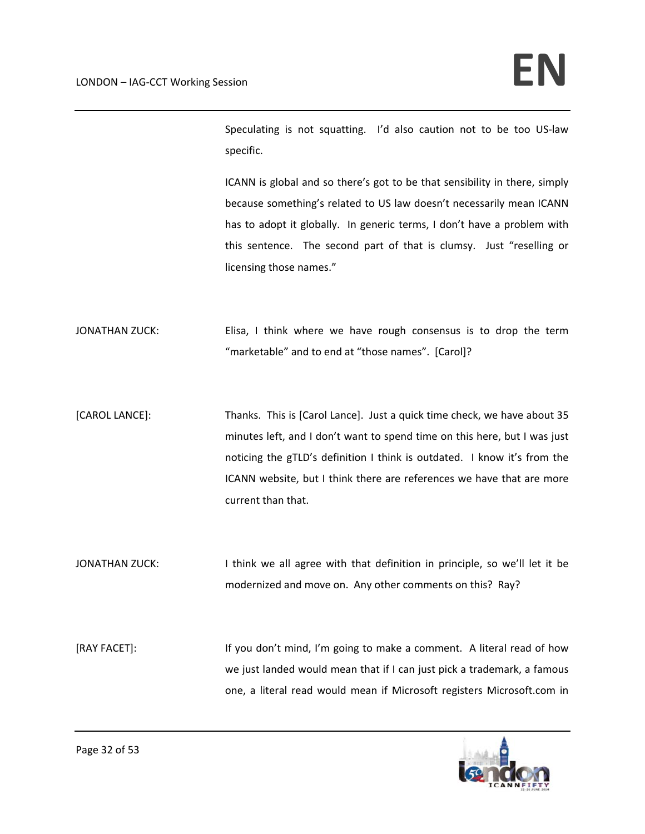Speculating is not squatting. I'd also caution not to be too US‐law specific.

ICANN is global and so there's got to be that sensibility in there, simply because something's related to US law doesn't necessarily mean ICANN has to adopt it globally. In generic terms, I don't have a problem with this sentence. The second part of that is clumsy. Just "reselling or licensing those names."

JONATHAN ZUCK: Elisa, I think where we have rough consensus is to drop the term "marketable" and to end at "those names". [Carol]?

[CAROL LANCE]: Thanks. This is [Carol Lance]. Just a quick time check, we have about 35 minutes left, and I don't want to spend time on this here, but I was just noticing the gTLD's definition I think is outdated. I know it's from the ICANN website, but I think there are references we have that are more current than that.

JONATHAN ZUCK: I think we all agree with that definition in principle, so we'll let it be modernized and move on. Any other comments on this? Ray?

[RAY FACET]: If you don't mind, I'm going to make a comment. A literal read of how we just landed would mean that if I can just pick a trademark, a famous one, a literal read would mean if Microsoft registers Microsoft.com in

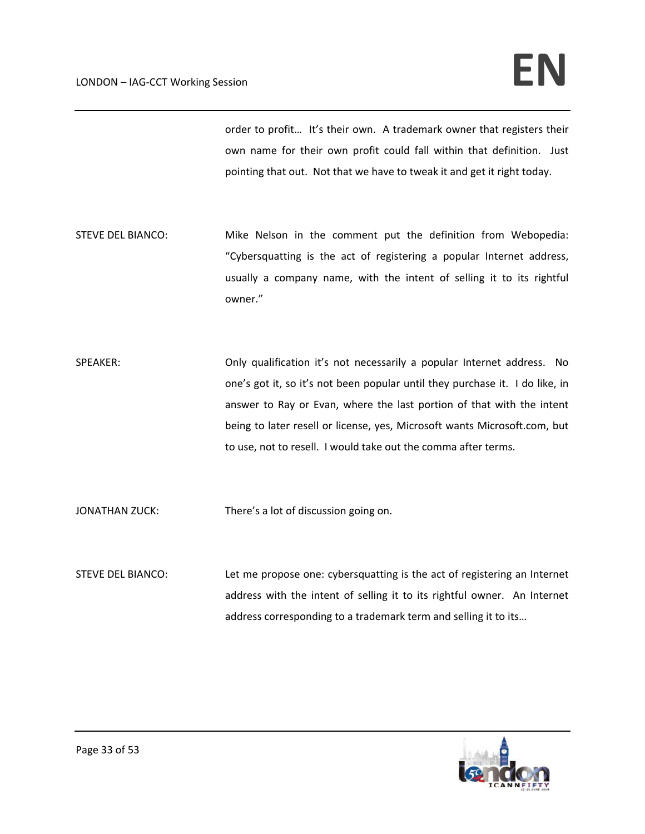order to profit… It's their own. A trademark owner that registers their own name for their own profit could fall within that definition. Just pointing that out. Not that we have to tweak it and get it right today.

- STEVE DEL BIANCO: Mike Nelson in the comment put the definition from Webopedia: "Cybersquatting is the act of registering a popular Internet address, usually a company name, with the intent of selling it to its rightful owner."
- SPEAKER: **Only qualification it's not necessarily a popular Internet address.** No one's got it, so it's not been popular until they purchase it. I do like, in answer to Ray or Evan, where the last portion of that with the intent being to later resell or license, yes, Microsoft wants Microsoft.com, but to use, not to resell. I would take out the comma after terms.

JONATHAN ZUCK: There's a lot of discussion going on.

STEVE DEL BIANCO: Let me propose one: cybersquatting is the act of registering an Internet address with the intent of selling it to its rightful owner. An Internet address corresponding to a trademark term and selling it to its…

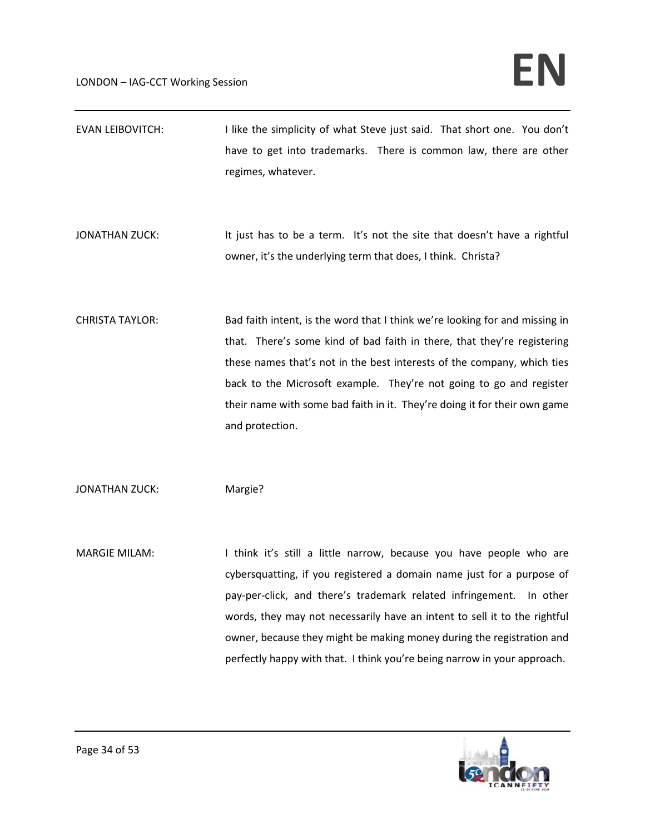| <b>EVAN LEIBOVITCH:</b> | I like the simplicity of what Steve just said. That short one. You don't<br>have to get into trademarks. There is common law, there are other<br>regimes, whatever.                                                                                                                                                                                                                                                                                   |
|-------------------------|-------------------------------------------------------------------------------------------------------------------------------------------------------------------------------------------------------------------------------------------------------------------------------------------------------------------------------------------------------------------------------------------------------------------------------------------------------|
| <b>JONATHAN ZUCK:</b>   | It just has to be a term. It's not the site that doesn't have a rightful<br>owner, it's the underlying term that does, I think. Christa?                                                                                                                                                                                                                                                                                                              |
| <b>CHRISTA TAYLOR:</b>  | Bad faith intent, is the word that I think we're looking for and missing in<br>that. There's some kind of bad faith in there, that they're registering<br>these names that's not in the best interests of the company, which ties<br>back to the Microsoft example. They're not going to go and register<br>their name with some bad faith in it. They're doing it for their own game<br>and protection.                                              |
| <b>JONATHAN ZUCK:</b>   | Margie?                                                                                                                                                                                                                                                                                                                                                                                                                                               |
| <b>MARGIE MILAM:</b>    | I think it's still a little narrow, because you have people who are<br>cybersquatting, if you registered a domain name just for a purpose of<br>pay-per-click, and there's trademark related infringement. In other<br>words, they may not necessarily have an intent to sell it to the rightful<br>owner, because they might be making money during the registration and<br>perfectly happy with that. I think you're being narrow in your approach. |

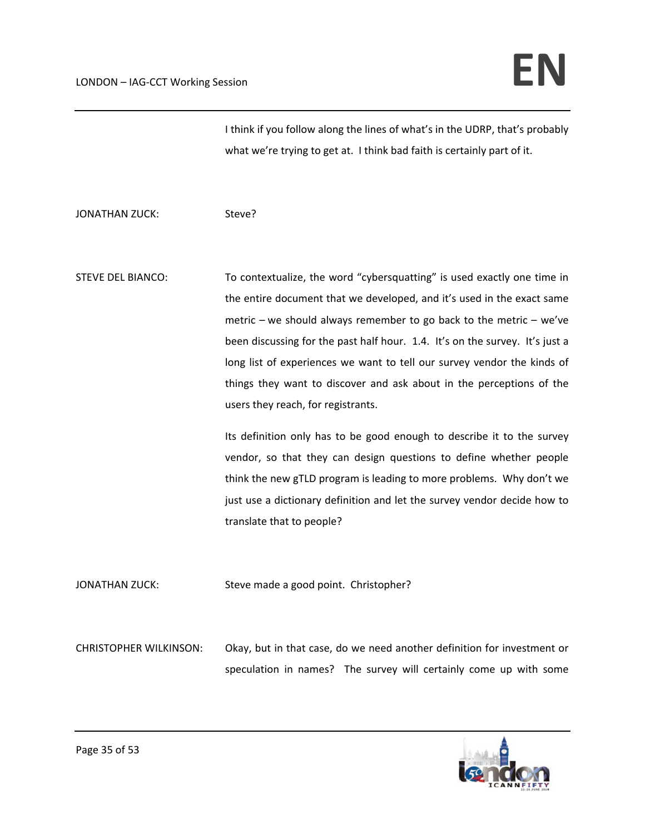I think if you follow along the lines of what's in the UDRP, that's probably what we're trying to get at. I think bad faith is certainly part of it.

JONATHAN ZUCK: Steve?

STEVE DEL BIANCO: To contextualize, the word "cybersquatting" is used exactly one time in the entire document that we developed, and it's used in the exact same metric – we should always remember to go back to the metric – we've been discussing for the past half hour. 1.4. It's on the survey. It's just a long list of experiences we want to tell our survey vendor the kinds of things they want to discover and ask about in the perceptions of the users they reach, for registrants.

> Its definition only has to be good enough to describe it to the survey vendor, so that they can design questions to define whether people think the new gTLD program is leading to more problems. Why don't we just use a dictionary definition and let the survey vendor decide how to translate that to people?

JONATHAN ZUCK: Steve made a good point. Christopher?

CHRISTOPHER WILKINSON: Okay, but in that case, do we need another definition for investment or speculation in names? The survey will certainly come up with some

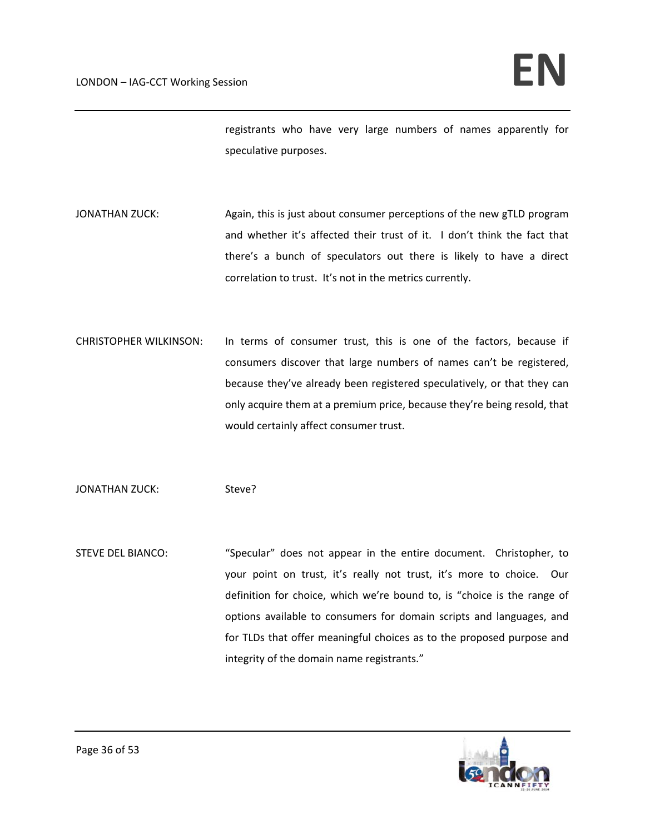registrants who have very large numbers of names apparently for speculative purposes.

- JONATHAN ZUCK: Again, this is just about consumer perceptions of the new gTLD program and whether it's affected their trust of it. I don't think the fact that there's a bunch of speculators out there is likely to have a direct correlation to trust. It's not in the metrics currently.
- CHRISTOPHER WILKINSON: In terms of consumer trust, this is one of the factors, because if consumers discover that large numbers of names can't be registered, because they've already been registered speculatively, or that they can only acquire them at a premium price, because they're being resold, that would certainly affect consumer trust.

JONATHAN ZUCK: Steve?

STEVE DEL BIANCO: "Specular" does not appear in the entire document. Christopher, to your point on trust, it's really not trust, it's more to choice. Our definition for choice, which we're bound to, is "choice is the range of options available to consumers for domain scripts and languages, and for TLDs that offer meaningful choices as to the proposed purpose and integrity of the domain name registrants."

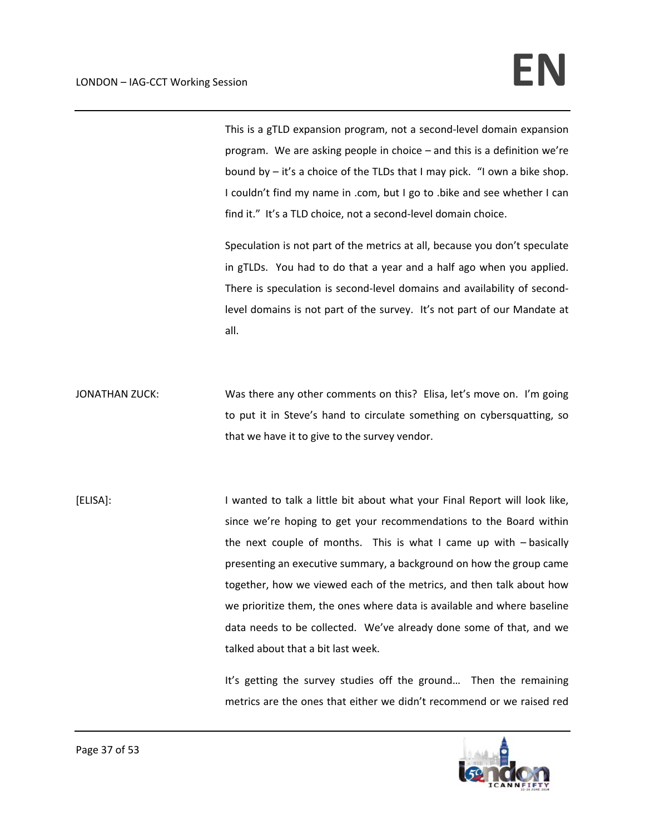This is a gTLD expansion program, not a second‐level domain expansion program. We are asking people in choice – and this is a definition we're bound by – it's a choice of the TLDs that I may pick. "I own a bike shop. I couldn't find my name in .com, but I go to .bike and see whether I can find it." It's a TLD choice, not a second-level domain choice.

Speculation is not part of the metrics at all, because you don't speculate in gTLDs. You had to do that a year and a half ago when you applied. There is speculation is second-level domains and availability of secondlevel domains is not part of the survey. It's not part of our Mandate at all.

JONATHAN ZUCK: Was there any other comments on this? Elisa, let's move on. I'm going to put it in Steve's hand to circulate something on cybersquatting, so that we have it to give to the survey vendor.

[ELISA]: I wanted to talk a little bit about what your Final Report will look like, since we're hoping to get your recommendations to the Board within the next couple of months. This is what I came up with  $-$  basically presenting an executive summary, a background on how the group came together, how we viewed each of the metrics, and then talk about how we prioritize them, the ones where data is available and where baseline data needs to be collected. We've already done some of that, and we talked about that a bit last week.

> It's getting the survey studies off the ground... Then the remaining metrics are the ones that either we didn't recommend or we raised red

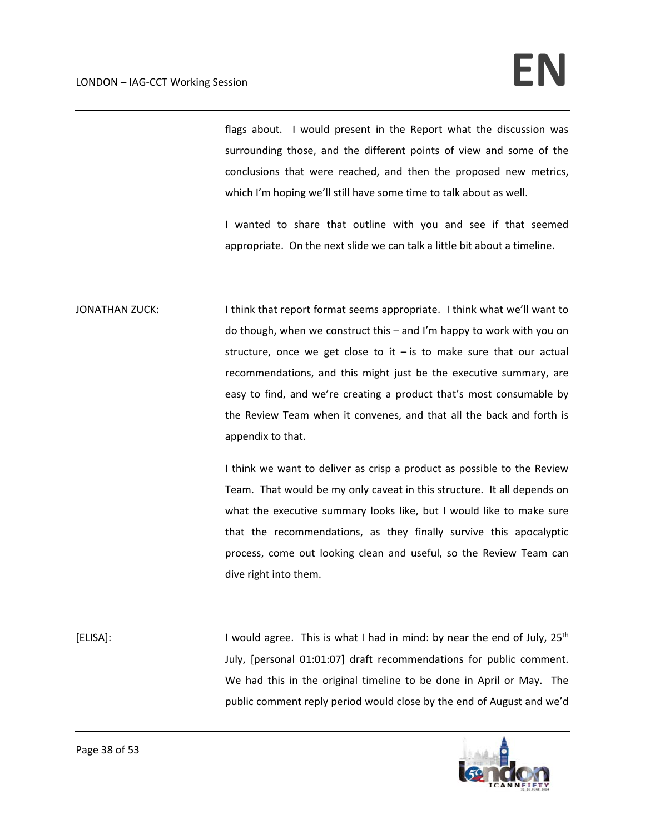flags about. I would present in the Report what the discussion was surrounding those, and the different points of view and some of the conclusions that were reached, and then the proposed new metrics, which I'm hoping we'll still have some time to talk about as well.

I wanted to share that outline with you and see if that seemed appropriate. On the next slide we can talk a little bit about a timeline.

JONATHAN ZUCK: I think that report format seems appropriate. I think what we'll want to do though, when we construct this – and I'm happy to work with you on structure, once we get close to it  $-$  is to make sure that our actual recommendations, and this might just be the executive summary, are easy to find, and we're creating a product that's most consumable by the Review Team when it convenes, and that all the back and forth is appendix to that.

> I think we want to deliver as crisp a product as possible to the Review Team. That would be my only caveat in this structure. It all depends on what the executive summary looks like, but I would like to make sure that the recommendations, as they finally survive this apocalyptic process, come out looking clean and useful, so the Review Team can dive right into them.

[ELISA]: I would agree. This is what I had in mind: by near the end of July, 25<sup>th</sup> July, [personal 01:01:07] draft recommendations for public comment. We had this in the original timeline to be done in April or May. The public comment reply period would close by the end of August and we'd

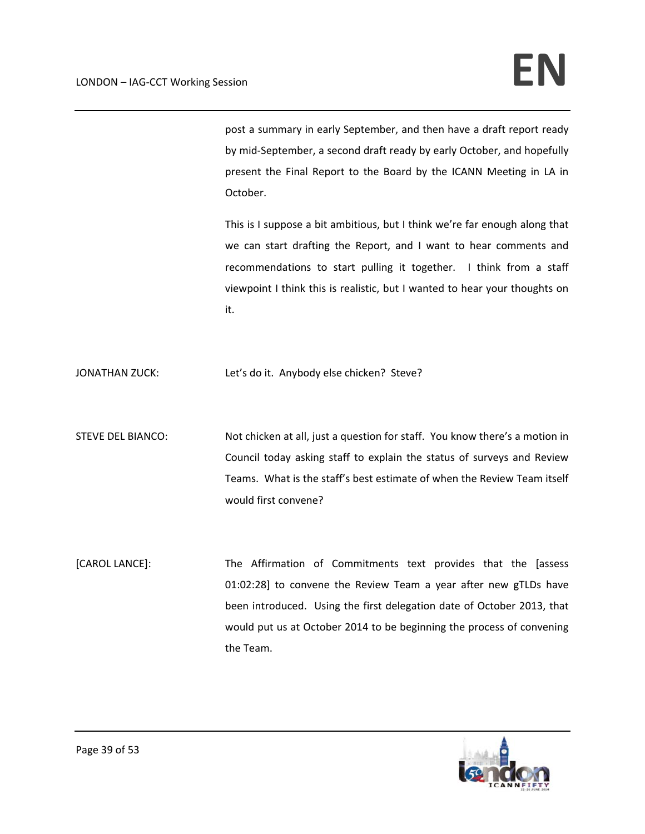post a summary in early September, and then have a draft report ready by mid‐September, a second draft ready by early October, and hopefully present the Final Report to the Board by the ICANN Meeting in LA in October.

This is I suppose a bit ambitious, but I think we're far enough along that we can start drafting the Report, and I want to hear comments and recommendations to start pulling it together. I think from a staff viewpoint I think this is realistic, but I wanted to hear your thoughts on it.

JONATHAN ZUCK: Let's do it. Anybody else chicken? Steve?

- STEVE DEL BIANCO: Not chicken at all, just a question for staff. You know there's a motion in Council today asking staff to explain the status of surveys and Review Teams. What is the staff's best estimate of when the Review Team itself would first convene?
- [CAROL LANCE]: The Affirmation of Commitments text provides that the [assess 01:02:28] to convene the Review Team a year after new gTLDs have been introduced. Using the first delegation date of October 2013, that would put us at October 2014 to be beginning the process of convening the Team.

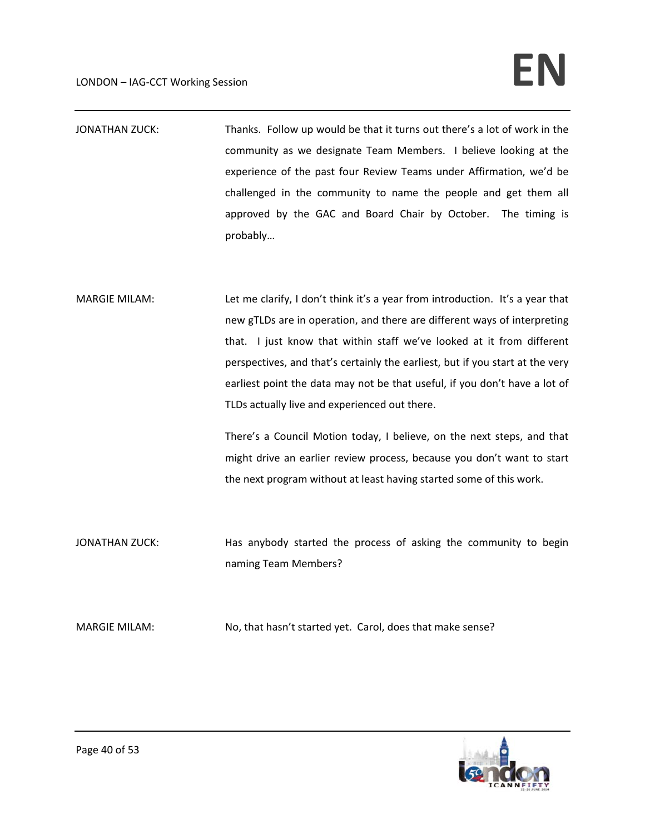# $LONDON - IAG-CCT Working Session$

- JONATHAN ZUCK: Thanks. Follow up would be that it turns out there's a lot of work in the community as we designate Team Members. I believe looking at the experience of the past four Review Teams under Affirmation, we'd be challenged in the community to name the people and get them all approved by the GAC and Board Chair by October. The timing is probably…
- MARGIE MILAM: Let me clarify, I don't think it's a year from introduction. It's a year that new gTLDs are in operation, and there are different ways of interpreting that. I just know that within staff we've looked at it from different perspectives, and that's certainly the earliest, but if you start at the very earliest point the data may not be that useful, if you don't have a lot of TLDs actually live and experienced out there.

There's a Council Motion today, I believe, on the next steps, and that might drive an earlier review process, because you don't want to start the next program without at least having started some of this work.

- JONATHAN ZUCK: Has anybody started the process of asking the community to begin naming Team Members?
- MARGIE MILAM: No, that hasn't started yet. Carol, does that make sense?

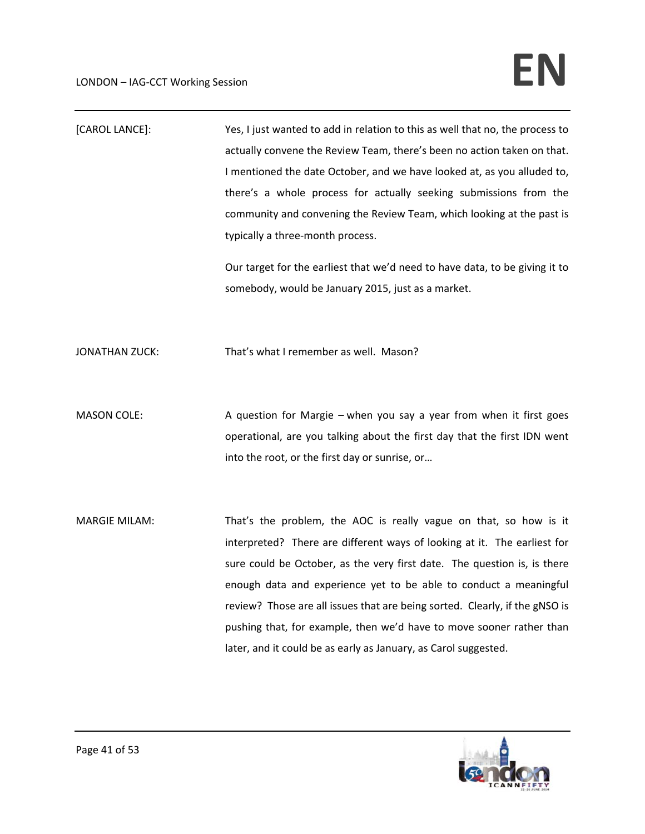| [CAROL LANCE]:        | Yes, I just wanted to add in relation to this as well that no, the process to<br>actually convene the Review Team, there's been no action taken on that.<br>I mentioned the date October, and we have looked at, as you alluded to,<br>there's a whole process for actually seeking submissions from the<br>community and convening the Review Team, which looking at the past is<br>typically a three-month process.<br>Our target for the earliest that we'd need to have data, to be giving it to                     |
|-----------------------|--------------------------------------------------------------------------------------------------------------------------------------------------------------------------------------------------------------------------------------------------------------------------------------------------------------------------------------------------------------------------------------------------------------------------------------------------------------------------------------------------------------------------|
|                       | somebody, would be January 2015, just as a market.                                                                                                                                                                                                                                                                                                                                                                                                                                                                       |
| <b>JONATHAN ZUCK:</b> | That's what I remember as well. Mason?                                                                                                                                                                                                                                                                                                                                                                                                                                                                                   |
| <b>MASON COLE:</b>    | A question for Margie - when you say a year from when it first goes<br>operational, are you talking about the first day that the first IDN went<br>into the root, or the first day or sunrise, or                                                                                                                                                                                                                                                                                                                        |
| <b>MARGIE MILAM:</b>  | That's the problem, the AOC is really vague on that, so how is it<br>interpreted? There are different ways of looking at it. The earliest for<br>sure could be October, as the very first date. The question is, is there<br>enough data and experience yet to be able to conduct a meaningful<br>review? Those are all issues that are being sorted. Clearly, if the gNSO is<br>pushing that, for example, then we'd have to move sooner rather than<br>later, and it could be as early as January, as Carol suggested. |

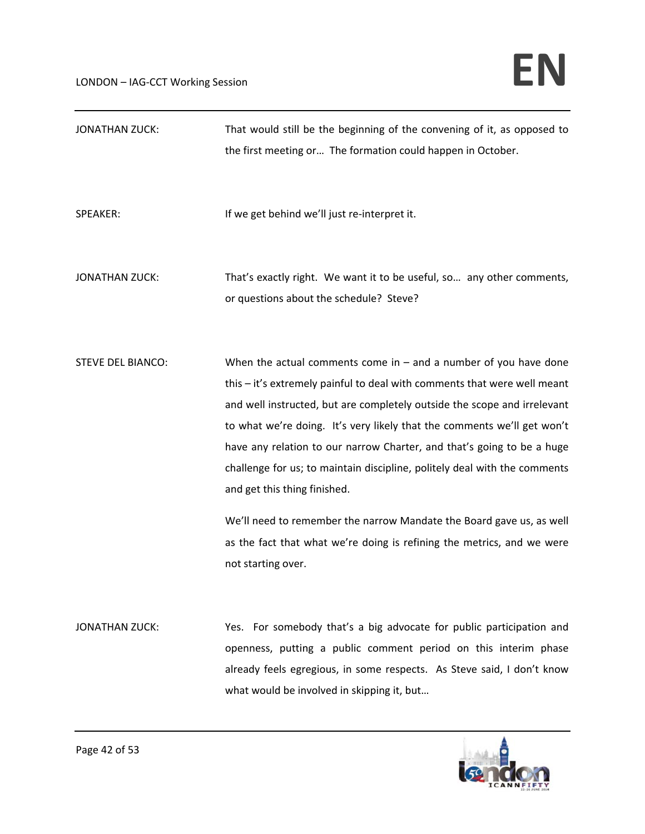#### $LONDON - IAG-CCT Working Session$

| <b>JONATHAN ZUCK:</b>    | That would still be the beginning of the convening of it, as opposed to<br>the first meeting or The formation could happen in October.                                                                                                                                                                                                                                                                                                                                                                                                                                                                                                                               |
|--------------------------|----------------------------------------------------------------------------------------------------------------------------------------------------------------------------------------------------------------------------------------------------------------------------------------------------------------------------------------------------------------------------------------------------------------------------------------------------------------------------------------------------------------------------------------------------------------------------------------------------------------------------------------------------------------------|
| SPEAKER:                 | If we get behind we'll just re-interpret it.                                                                                                                                                                                                                                                                                                                                                                                                                                                                                                                                                                                                                         |
| <b>JONATHAN ZUCK:</b>    | That's exactly right. We want it to be useful, so any other comments,<br>or questions about the schedule? Steve?                                                                                                                                                                                                                                                                                                                                                                                                                                                                                                                                                     |
| <b>STEVE DEL BIANCO:</b> | When the actual comments come in $-$ and a number of you have done<br>this - it's extremely painful to deal with comments that were well meant<br>and well instructed, but are completely outside the scope and irrelevant<br>to what we're doing. It's very likely that the comments we'll get won't<br>have any relation to our narrow Charter, and that's going to be a huge<br>challenge for us; to maintain discipline, politely deal with the comments<br>and get this thing finished.<br>We'll need to remember the narrow Mandate the Board gave us, as well<br>as the fact that what we're doing is refining the metrics, and we were<br>not starting over. |
| <b>JONATHAN ZUCK:</b>    | Yes. For somebody that's a big advocate for public participation and<br>openness, putting a public comment period on this interim phase<br>already feels egregious, in some respects. As Steve said, I don't know<br>what would be involved in skipping it, but                                                                                                                                                                                                                                                                                                                                                                                                      |

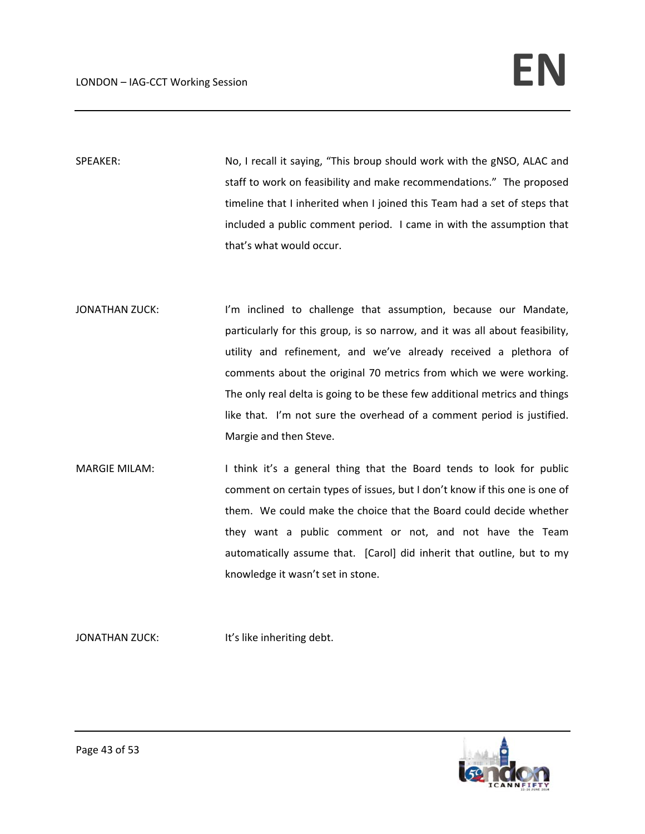SPEAKER: No, I recall it saying, "This broup should work with the gNSO, ALAC and staff to work on feasibility and make recommendations." The proposed timeline that I inherited when I joined this Team had a set of steps that included a public comment period. I came in with the assumption that that's what would occur.

- JONATHAN ZUCK: I'm inclined to challenge that assumption, because our Mandate, particularly for this group, is so narrow, and it was all about feasibility, utility and refinement, and we've already received a plethora of comments about the original 70 metrics from which we were working. The only real delta is going to be these few additional metrics and things like that. I'm not sure the overhead of a comment period is justified. Margie and then Steve.
- MARGIE MILAM: I think it's a general thing that the Board tends to look for public comment on certain types of issues, but I don't know if this one is one of them. We could make the choice that the Board could decide whether they want a public comment or not, and not have the Team automatically assume that. [Carol] did inherit that outline, but to my knowledge it wasn't set in stone.

JONATHAN ZUCK: It's like inheriting debt.

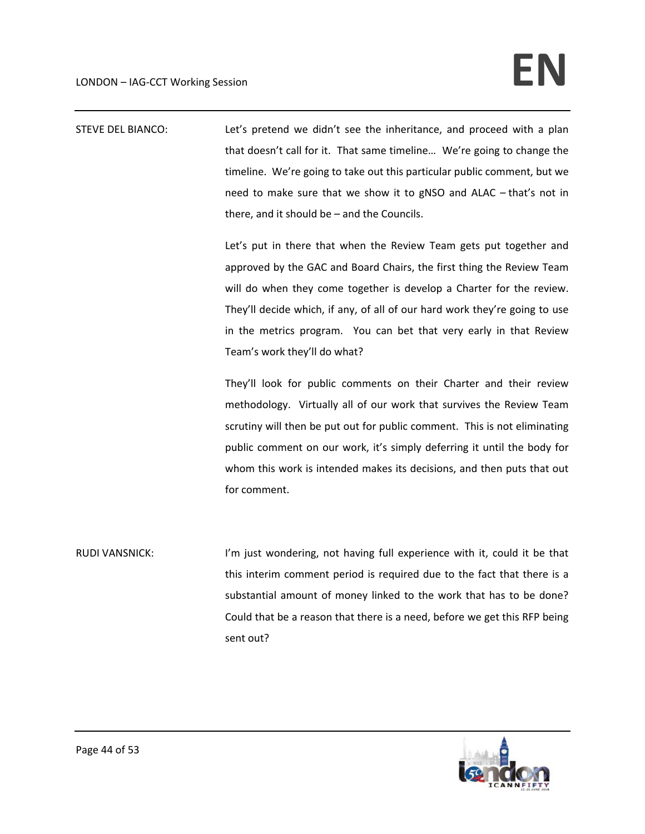STEVE DEL BIANCO: Let's pretend we didn't see the inheritance, and proceed with a plan that doesn't call for it. That same timeline… We're going to change the timeline. We're going to take out this particular public comment, but we need to make sure that we show it to gNSO and ALAC – that's not in there, and it should be – and the Councils.

> Let's put in there that when the Review Team gets put together and approved by the GAC and Board Chairs, the first thing the Review Team will do when they come together is develop a Charter for the review. They'll decide which, if any, of all of our hard work they're going to use in the metrics program. You can bet that very early in that Review Team's work they'll do what?

> They'll look for public comments on their Charter and their review methodology. Virtually all of our work that survives the Review Team scrutiny will then be put out for public comment. This is not eliminating public comment on our work, it's simply deferring it until the body for whom this work is intended makes its decisions, and then puts that out for comment.

RUDI VANSNICK: I'm just wondering, not having full experience with it, could it be that this interim comment period is required due to the fact that there is a substantial amount of money linked to the work that has to be done? Could that be a reason that there is a need, before we get this RFP being sent out?

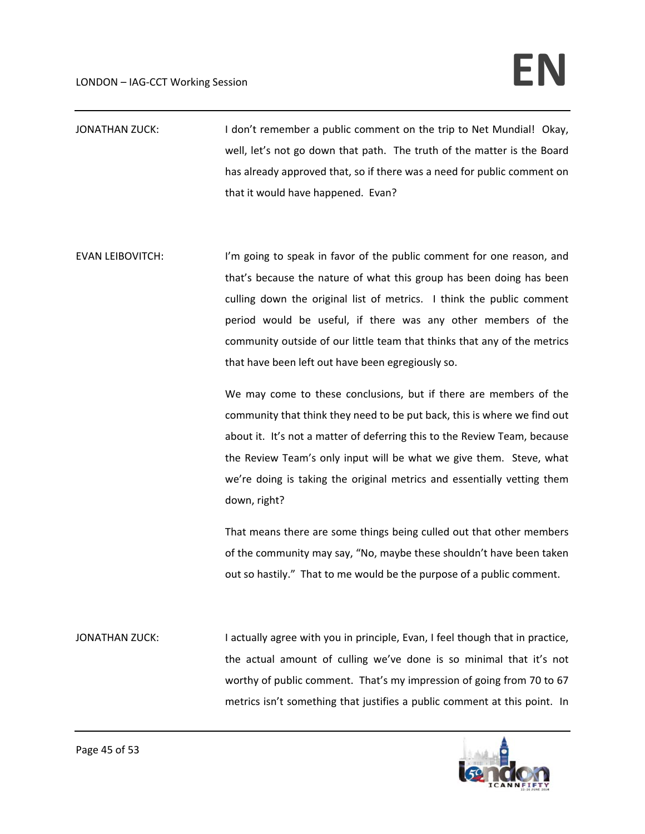## $LONDON - IAG-CCT Working Session$

- JONATHAN ZUCK: I don't remember a public comment on the trip to Net Mundial! Okay, well, let's not go down that path. The truth of the matter is the Board has already approved that, so if there was a need for public comment on that it would have happened. Evan?
- EVAN LEIBOVITCH: I'm going to speak in favor of the public comment for one reason, and that's because the nature of what this group has been doing has been culling down the original list of metrics. I think the public comment period would be useful, if there was any other members of the community outside of our little team that thinks that any of the metrics that have been left out have been egregiously so.

We may come to these conclusions, but if there are members of the community that think they need to be put back, this is where we find out about it. It's not a matter of deferring this to the Review Team, because the Review Team's only input will be what we give them. Steve, what we're doing is taking the original metrics and essentially vetting them down, right?

That means there are some things being culled out that other members of the community may say, "No, maybe these shouldn't have been taken out so hastily." That to me would be the purpose of a public comment.

JONATHAN ZUCK: I actually agree with you in principle, Evan, I feel though that in practice, the actual amount of culling we've done is so minimal that it's not worthy of public comment. That's my impression of going from 70 to 67 metrics isn't something that justifies a public comment at this point. In

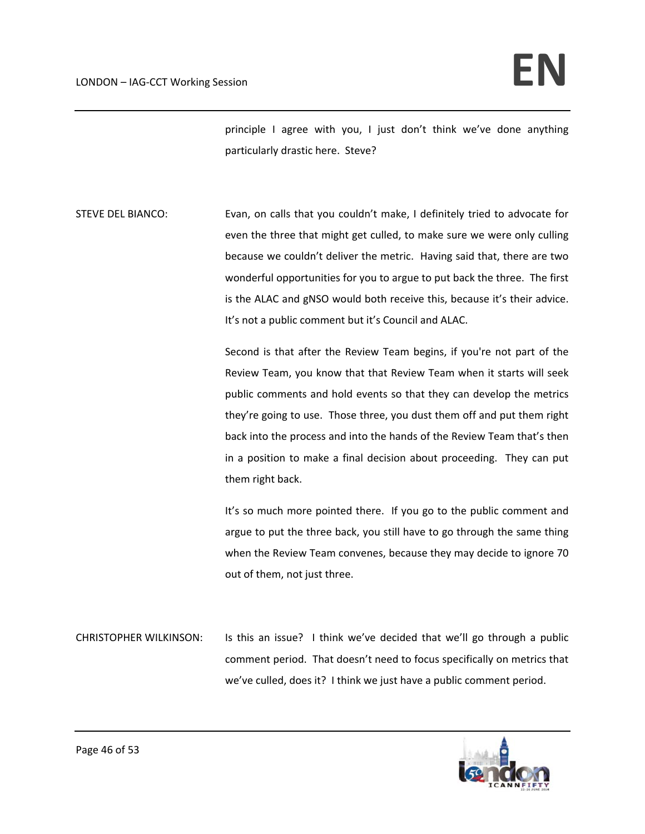principle I agree with you, I just don't think we've done anything particularly drastic here. Steve?

STEVE DEL BIANCO: Evan, on calls that you couldn't make, I definitely tried to advocate for even the three that might get culled, to make sure we were only culling because we couldn't deliver the metric. Having said that, there are two wonderful opportunities for you to argue to put back the three. The first is the ALAC and gNSO would both receive this, because it's their advice. It's not a public comment but it's Council and ALAC.

> Second is that after the Review Team begins, if you're not part of the Review Team, you know that that Review Team when it starts will seek public comments and hold events so that they can develop the metrics they're going to use. Those three, you dust them off and put them right back into the process and into the hands of the Review Team that's then in a position to make a final decision about proceeding. They can put them right back.

> It's so much more pointed there. If you go to the public comment and argue to put the three back, you still have to go through the same thing when the Review Team convenes, because they may decide to ignore 70 out of them, not just three.

CHRISTOPHER WILKINSON: Is this an issue? I think we've decided that we'll go through a public comment period. That doesn't need to focus specifically on metrics that we've culled, does it? I think we just have a public comment period.

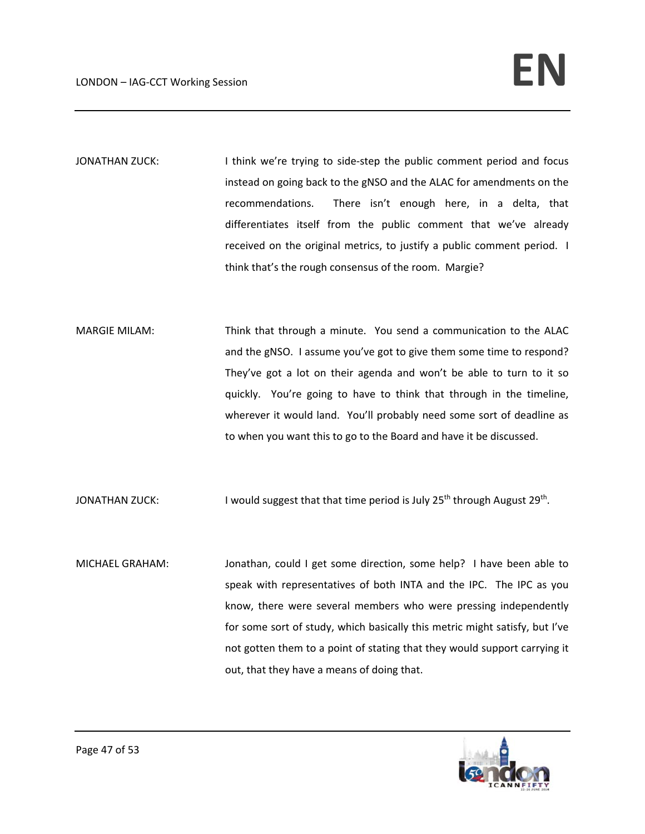- JONATHAN ZUCK: I think we're trying to side-step the public comment period and focus instead on going back to the gNSO and the ALAC for amendments on the recommendations. There isn't enough here, in a delta, that differentiates itself from the public comment that we've already received on the original metrics, to justify a public comment period. I think that's the rough consensus of the room. Margie?
- MARGIE MILAM: Think that through a minute. You send a communication to the ALAC and the gNSO. I assume you've got to give them some time to respond? They've got a lot on their agenda and won't be able to turn to it so quickly. You're going to have to think that through in the timeline, wherever it would land. You'll probably need some sort of deadline as to when you want this to go to the Board and have it be discussed.
- JONATHAN ZUCK: I would suggest that that time period is July 25<sup>th</sup> through August 29<sup>th</sup>.
- MICHAEL GRAHAM: Jonathan, could I get some direction, some help? I have been able to speak with representatives of both INTA and the IPC. The IPC as you know, there were several members who were pressing independently for some sort of study, which basically this metric might satisfy, but I've not gotten them to a point of stating that they would support carrying it out, that they have a means of doing that.

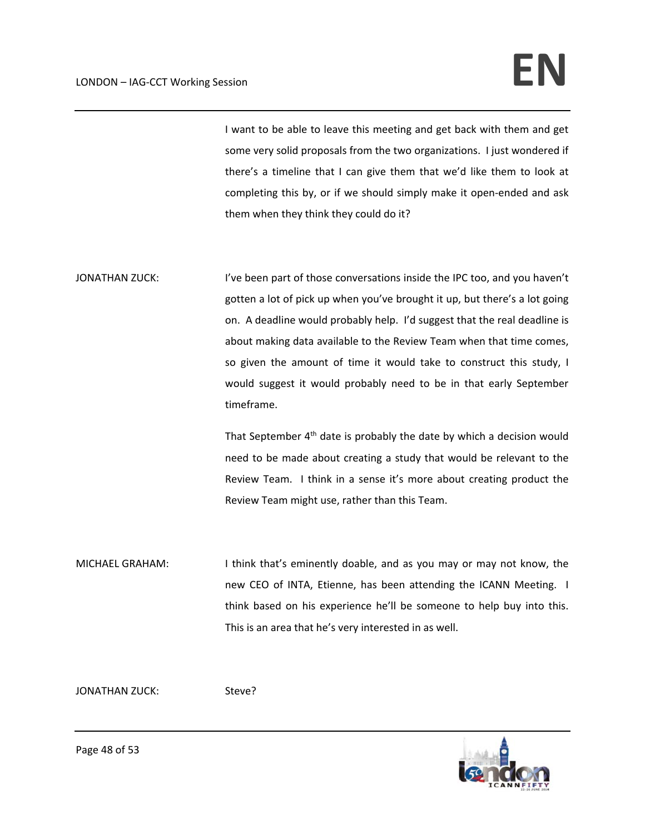## $LONDON - IAG-CCT Working Session$

I want to be able to leave this meeting and get back with them and get some very solid proposals from the two organizations. I just wondered if there's a timeline that I can give them that we'd like them to look at completing this by, or if we should simply make it open‐ended and ask them when they think they could do it?

JONATHAN ZUCK: I've been part of those conversations inside the IPC too, and you haven't gotten a lot of pick up when you've brought it up, but there's a lot going on. A deadline would probably help. I'd suggest that the real deadline is about making data available to the Review Team when that time comes, so given the amount of time it would take to construct this study, I would suggest it would probably need to be in that early September timeframe.

> That September 4<sup>th</sup> date is probably the date by which a decision would need to be made about creating a study that would be relevant to the Review Team. I think in a sense it's more about creating product the Review Team might use, rather than this Team.

MICHAEL GRAHAM: I think that's eminently doable, and as you may or may not know, the new CEO of INTA, Etienne, has been attending the ICANN Meeting. I think based on his experience he'll be someone to help buy into this. This is an area that he's very interested in as well.

JONATHAN ZUCK: Steve?

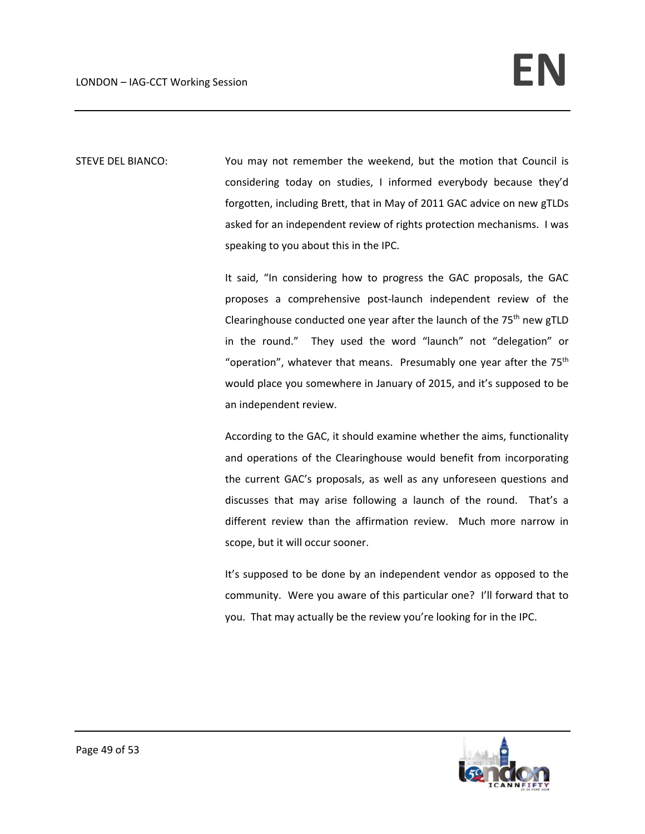STEVE DEL BIANCO: You may not remember the weekend, but the motion that Council is considering today on studies, I informed everybody because they'd forgotten, including Brett, that in May of 2011 GAC advice on new gTLDs asked for an independent review of rights protection mechanisms. I was speaking to you about this in the IPC.

> It said, "In considering how to progress the GAC proposals, the GAC proposes a comprehensive post‐launch independent review of the Clearinghouse conducted one year after the launch of the  $75<sup>th</sup>$  new gTLD in the round." They used the word "launch" not "delegation" or "operation", whatever that means. Presumably one year after the  $75<sup>th</sup>$ would place you somewhere in January of 2015, and it's supposed to be an independent review.

> According to the GAC, it should examine whether the aims, functionality and operations of the Clearinghouse would benefit from incorporating the current GAC's proposals, as well as any unforeseen questions and discusses that may arise following a launch of the round. That's a different review than the affirmation review. Much more narrow in scope, but it will occur sooner.

> It's supposed to be done by an independent vendor as opposed to the community. Were you aware of this particular one? I'll forward that to you. That may actually be the review you're looking for in the IPC.

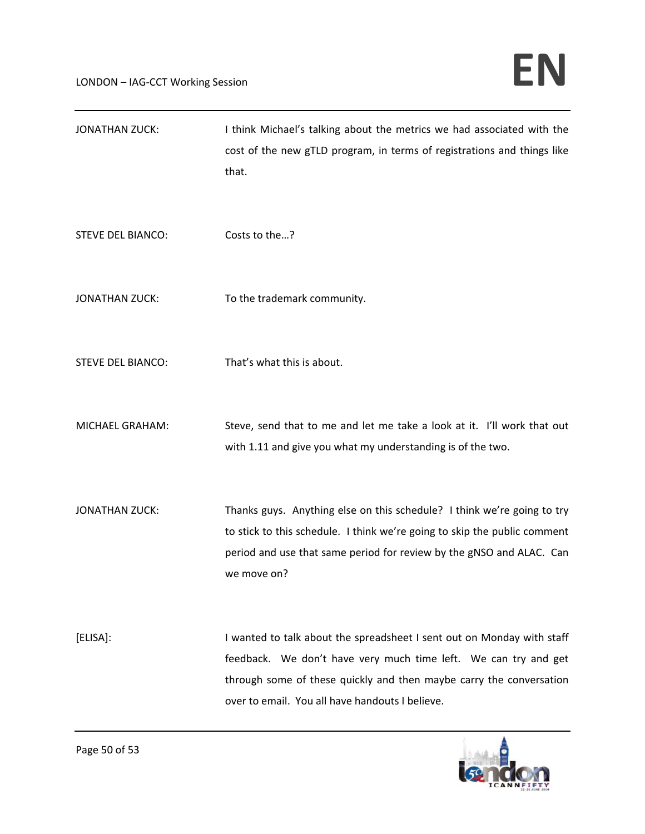| <b>JONATHAN ZUCK:</b>    | I think Michael's talking about the metrics we had associated with the<br>cost of the new gTLD program, in terms of registrations and things like<br>that.                                                                                                          |
|--------------------------|---------------------------------------------------------------------------------------------------------------------------------------------------------------------------------------------------------------------------------------------------------------------|
| <b>STEVE DEL BIANCO:</b> | Costs to the?                                                                                                                                                                                                                                                       |
| <b>JONATHAN ZUCK:</b>    | To the trademark community.                                                                                                                                                                                                                                         |
| <b>STEVE DEL BIANCO:</b> | That's what this is about.                                                                                                                                                                                                                                          |
| MICHAEL GRAHAM:          | Steve, send that to me and let me take a look at it. I'll work that out<br>with 1.11 and give you what my understanding is of the two.                                                                                                                              |
| <b>JONATHAN ZUCK:</b>    | Thanks guys. Anything else on this schedule? I think we're going to try<br>to stick to this schedule. I think we're going to skip the public comment<br>period and use that same period for review by the gNSO and ALAC. Can<br>we move on?                         |
| [ELISA]:                 | I wanted to talk about the spreadsheet I sent out on Monday with staff<br>feedback. We don't have very much time left. We can try and get<br>through some of these quickly and then maybe carry the conversation<br>over to email. You all have handouts I believe. |

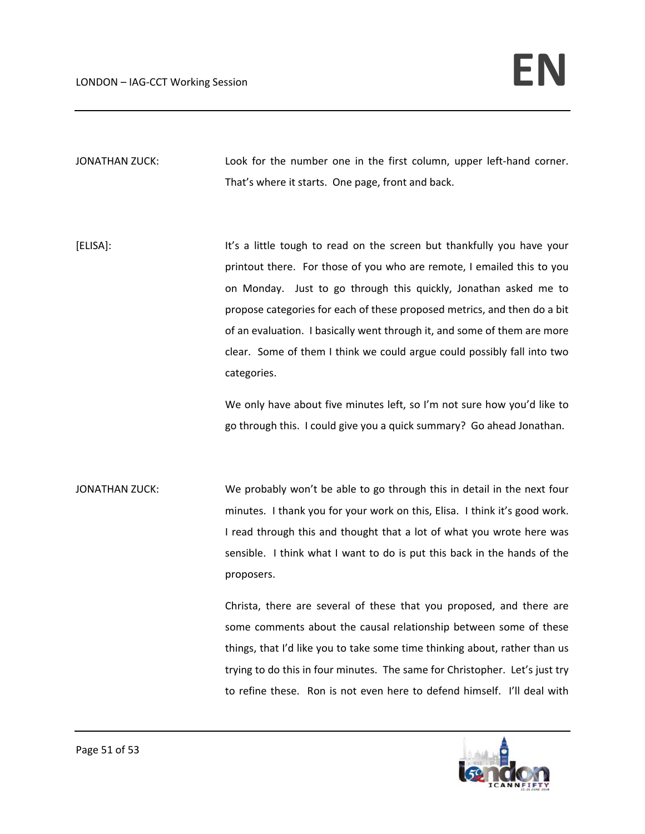JONATHAN ZUCK: Look for the number one in the first column, upper left-hand corner. That's where it starts. One page, front and back.

[ELISA]: It's a little tough to read on the screen but thankfully you have your printout there. For those of you who are remote, I emailed this to you on Monday. Just to go through this quickly, Jonathan asked me to propose categories for each of these proposed metrics, and then do a bit of an evaluation. I basically went through it, and some of them are more clear. Some of them I think we could argue could possibly fall into two categories.

> We only have about five minutes left, so I'm not sure how you'd like to go through this. I could give you a quick summary? Go ahead Jonathan.

JONATHAN ZUCK: We probably won't be able to go through this in detail in the next four minutes. I thank you for your work on this, Elisa. I think it's good work. I read through this and thought that a lot of what you wrote here was sensible. I think what I want to do is put this back in the hands of the proposers.

> Christa, there are several of these that you proposed, and there are some comments about the causal relationship between some of these things, that I'd like you to take some time thinking about, rather than us trying to do this in four minutes. The same for Christopher. Let's just try to refine these. Ron is not even here to defend himself. I'll deal with

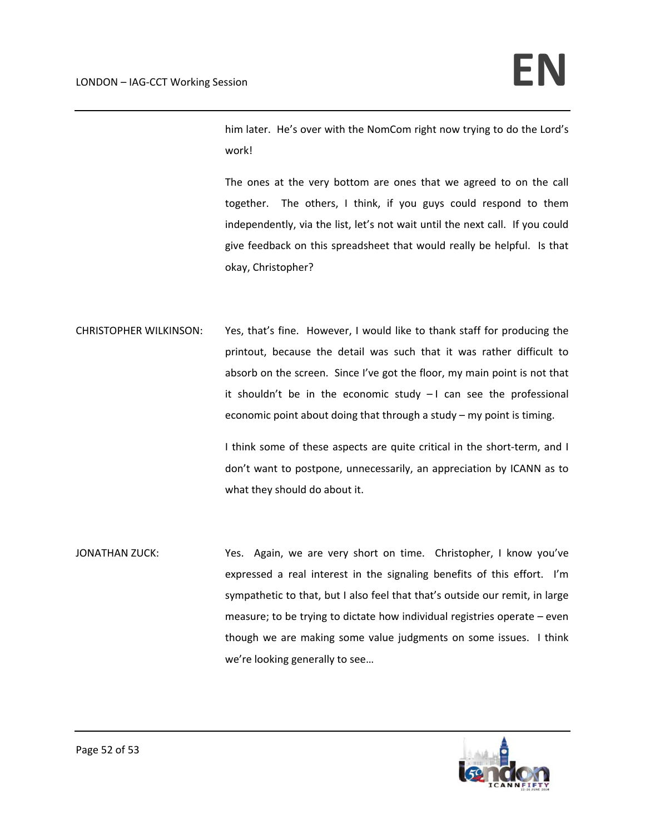him later. He's over with the NomCom right now trying to do the Lord's work!

The ones at the very bottom are ones that we agreed to on the call together. The others, I think, if you guys could respond to them independently, via the list, let's not wait until the next call. If you could give feedback on this spreadsheet that would really be helpful. Is that okay, Christopher?

CHRISTOPHER WILKINSON: Yes, that's fine. However, I would like to thank staff for producing the printout, because the detail was such that it was rather difficult to absorb on the screen. Since I've got the floor, my main point is not that it shouldn't be in the economic study  $-1$  can see the professional economic point about doing that through a study – my point is timing.

> I think some of these aspects are quite critical in the short‐term, and I don't want to postpone, unnecessarily, an appreciation by ICANN as to what they should do about it.

JONATHAN ZUCK: Yes. Again, we are very short on time. Christopher, I know you've expressed a real interest in the signaling benefits of this effort. I'm sympathetic to that, but I also feel that that's outside our remit, in large measure; to be trying to dictate how individual registries operate – even though we are making some value judgments on some issues. I think we're looking generally to see…